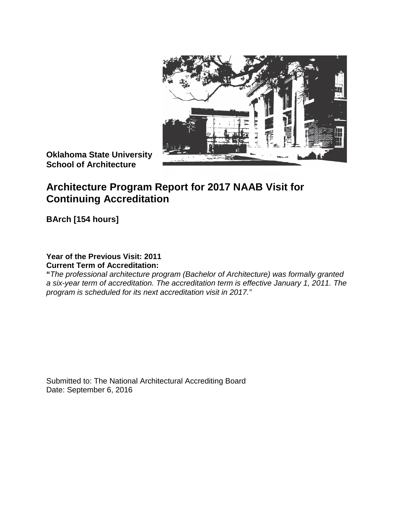

**Oklahoma State University School of Architecture**

# **Architecture Program Report for 2017 NAAB Visit for Continuing Accreditation**

**BArch [154 hours]**

# **Year of the Previous Visit: 2011 Current Term of Accreditation:**

**"***The professional architecture program (Bachelor of Architecture) was formally granted a six-year term of accreditation. The accreditation term is effective January 1, 2011. The program is scheduled for its next accreditation visit in 2017."*

Submitted to: The National Architectural Accrediting Board Date: September 6, 2016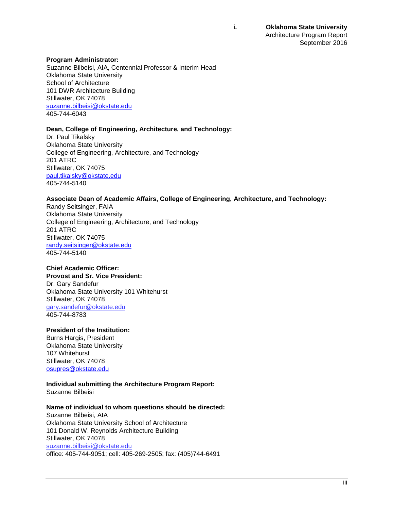#### **Program Administrator:**

Suzanne Bilbeisi, AIA, Centennial Professor & Interim Head Oklahoma State University School of Architecture 101 DWR Architecture Building Stillwater, OK 74078 [suzanne.bilbeisi@okstate.edu](mailto:randy.seitsinger@okstate.edu) 405-744-6043

#### **Dean, College of Engineering, Architecture, and Technology:**

Dr. Paul Tikalsky Oklahoma State University College of Engineering, Architecture, and Technology 201 ATRC Stillwater, OK 74075 [paul.tikalsky@okstate.edu](mailto:paul.tikalsky@okstate.edu) 405-744-5140

#### **Associate Dean of Academic Affairs, College of Engineering, Architecture, and Technology:**

Randy Seitsinger, FAIA Oklahoma State University College of Engineering, Architecture, and Technology 201 ATRC Stillwater, OK 74075 [randy.seitsinger@okstate.edu](mailto:randy.seitsinger@okstate.edu) 405-744-5140

### **Chief Academic Officer:**

# **Provost and Sr. Vice President:**

Dr. Gary Sandefur Oklahoma State University 101 Whitehurst Stillwater, OK 74078 [gary.sandefur@okstate.edu](mailto:gary.sandefur@okstate.edu) 405-744-8783

#### **President of the Institution:**

Burns Hargis, President Oklahoma State University 107 Whitehurst Stillwater, OK 74078 [osupres@okstate.edu](mailto:osupres@okstate.edu)

# **Individual submitting the Architecture Program Report:**

Suzanne Bilbeisi

### **Name of individual to whom questions should be directed:**

Suzanne Bilbeisi, AIA Oklahoma State University School of Architecture 101 Donald W. Reynolds Architecture Building Stillwater, OK 74078 [suzanne.bilbeisi@okstate.edu](mailto:randy.seitsinger@okstate.edu) office: 405-744-9051; cell: 405-269-2505; fax: (405)744-6491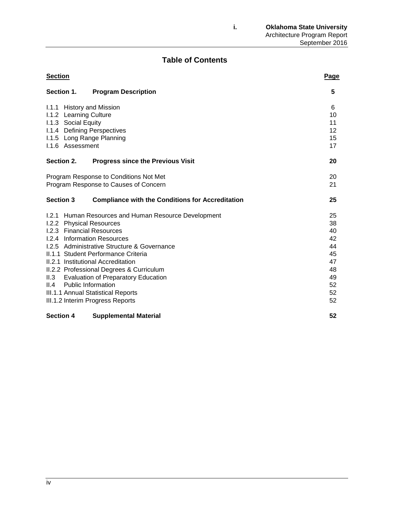# **Table of Contents**

| <b>Section</b>                                                              | Page |
|-----------------------------------------------------------------------------|------|
| Section 1.<br><b>Program Description</b>                                    | 5    |
| 1.1.1 History and Mission                                                   | 6    |
| 1.1.2 Learning Culture                                                      | 10   |
| I.1.3 Social Equity                                                         | 11   |
| I.1.4 Defining Perspectives                                                 | 12   |
| I.1.5 Long Range Planning                                                   | 15   |
| 1.1.6 Assessment                                                            | 17   |
| Section 2.<br><b>Progress since the Previous Visit</b>                      | 20   |
| Program Response to Conditions Not Met                                      | 20   |
| Program Response to Causes of Concern                                       | 21   |
| <b>Section 3</b><br><b>Compliance with the Conditions for Accreditation</b> | 25   |
| 1.2.1 Human Resources and Human Resource Development                        | 25   |
| <b>I.2.2 Physical Resources</b>                                             | 38   |
| 1.2.3 Financial Resources                                                   | 40   |
| 1.2.4 Information Resources                                                 | 42   |
| 1.2.5 Administrative Structure & Governance                                 | 44   |
| II.1.1 Student Performance Criteria                                         | 45   |
| II.2.1 Institutional Accreditation                                          | 47   |
| II.2.2 Professional Degrees & Curriculum                                    | 48   |
| II.3<br><b>Evaluation of Preparatory Education</b>                          | 49   |
| <b>Public Information</b><br>II.4                                           | 52   |
| III.1.1 Annual Statistical Reports                                          | 52   |
| III.1.2 Interim Progress Reports                                            | 52   |
| <b>Section 4</b><br><b>Supplemental Material</b>                            | 52   |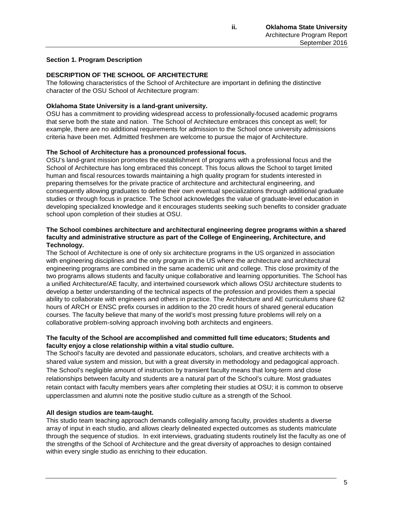# **Section 1. Program Description**

# **DESCRIPTION OF THE SCHOOL OF ARCHITECTURE**

The following characteristics of the School of Architecture are important in defining the distinctive character of the OSU School of Architecture program:

# **Oklahoma State University is a land-grant university.**

OSU has a commitment to providing widespread access to professionally-focused academic programs that serve both the state and nation. The School of Architecture embraces this concept as well; for example, there are no additional requirements for admission to the School once university admissions criteria have been met. Admitted freshmen are welcome to pursue the major of Architecture.

# **The School of Architecture has a pronounced professional focus.**

OSU's land-grant mission promotes the establishment of programs with a professional focus and the School of Architecture has long embraced this concept. This focus allows the School to target limited human and fiscal resources towards maintaining a high quality program for students interested in preparing themselves for the private practice of architecture and architectural engineering, and consequently allowing graduates to define their own eventual specializations through additional graduate studies or through focus in practice. The School acknowledges the value of graduate-level education in developing specialized knowledge and it encourages students seeking such benefits to consider graduate school upon completion of their studies at OSU.

# **The School combines architecture and architectural engineering degree programs within a shared faculty and administrative structure as part of the College of Engineering, Architecture, and Technology.**

The School of Architecture is one of only six architecture programs in the US organized in association with engineering disciplines and the only program in the US where the architecture and architectural engineering programs are combined in the same academic unit and college. This close proximity of the two programs allows students and faculty unique collaborative and learning opportunities. The School has a unified Architecture/AE faculty, and intertwined coursework which allows OSU architecture students to develop a better understanding of the technical aspects of the profession and provides them a special ability to collaborate with engineers and others in practice. The Architecture and AE curriculums share 62 hours of ARCH or ENSC prefix courses in addition to the 20 credit hours of shared general education courses. The faculty believe that many of the world's most pressing future problems will rely on a collaborative problem-solving approach involving both architects and engineers.

# **The faculty of the School are accomplished and committed full time educators; Students and faculty enjoy a close relationship within a vital studio culture.**

The School's faculty are devoted and passionate educators, scholars, and creative architects with a shared value system and mission, but with a great diversity in methodology and pedagogical approach. The School's negligible amount of instruction by transient faculty means that long-term and close relationships between faculty and students are a natural part of the School's culture. Most graduates retain contact with faculty members years after completing their studies at OSU; it is common to observe upperclassmen and alumni note the positive studio culture as a strength of the School.

# **All design studios are team-taught.**

This studio team teaching approach demands collegiality among faculty, provides students a diverse array of input in each studio, and allows clearly delineated expected outcomes as students matriculate through the sequence of studios. In exit interviews, graduating students routinely list the faculty as one of the strengths of the School of Architecture and the great diversity of approaches to design contained within every single studio as enriching to their education.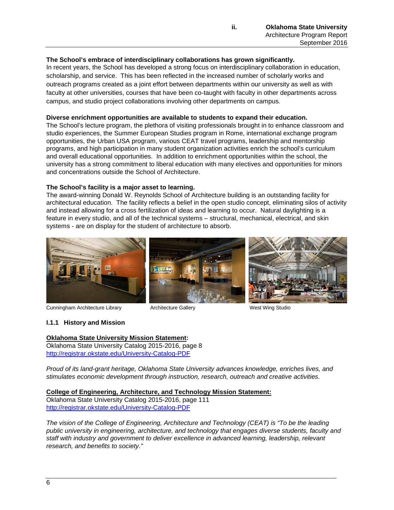### **The School's embrace of interdisciplinary collaborations has grown significantly.**

In recent years, the School has developed a strong focus on interdisciplinary collaboration in education, scholarship, and service. This has been reflected in the increased number of scholarly works and outreach programs created as a joint effort between departments within our university as well as with faculty at other universities, courses that have been co-taught with faculty in other departments across campus, and studio project collaborations involving other departments on campus.

### **Diverse enrichment opportunities are available to students to expand their education.**

The School's lecture program, the plethora of visiting professionals brought in to enhance classroom and studio experiences, the Summer European Studies program in Rome, international exchange program opportunities, the Urban USA program, various CEAT travel programs, leadership and mentorship programs, and high participation in many student organization activities enrich the school's curriculum and overall educational opportunities. In addition to enrichment opportunities within the school, the university has a strong commitment to liberal education with many electives and opportunities for minors and concentrations outside the School of Architecture.

### **The School's facility is a major asset to learning.**

The award-winning Donald W. Reynolds School of Architecture building is an outstanding facility for architectural education. The facility reflects a belief in the open studio concept, eliminating silos of activity and instead allowing for a cross fertilization of ideas and learning to occur. Natural daylighting is a feature in every studio, and all of the technical systems – structural, mechanical, electrical, and skin systems - are on display for the student of architecture to absorb.



Cunningham Architecture Library **Architecture Gallery** West Wing Studio

### **I.1.1 History and Mission**

### **Oklahoma State University Mission Statement:**

Oklahoma State University Catalog 2015-2016, page 8 <http://registrar.okstate.edu/University-Catalog-PDF>

*Proud of its land-grant heritage, Oklahoma State University advances knowledge, enriches lives, and stimulates economic development through instruction, research, outreach and creative activities.*

### **College of Engineering, Architecture, and Technology Mission Statement:**

Oklahoma State University Catalog 2015-2016, page 111 <http://registrar.okstate.edu/University-Catalog-PDF>

*The vision of the College of Engineering, Architecture and Technology (CEAT) is "To be the leading public university in engineering, architecture, and technology that engages diverse students, faculty and staff with industry and government to deliver excellence in advanced learning, leadership, relevant research, and benefits to society."*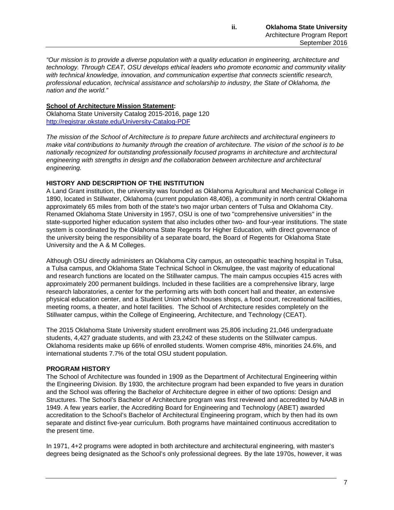*"Our mission is to provide a diverse population with a quality education in engineering, architecture and technology. Through CEAT, OSU develops ethical leaders who promote economic and community vitality with technical knowledge, innovation, and communication expertise that connects scientific research, professional education, technical assistance and scholarship to industry, the State of Oklahoma, the nation and the world."* 

# **School of Architecture Mission Statement:**

Oklahoma State University Catalog 2015-2016, page 120 <http://registrar.okstate.edu/University-Catalog-PDF>

*The mission of the School of Architecture is to prepare future architects and architectural engineers to make vital contributions to humanity through the creation of architecture. The vision of the school is to be nationally recognized for outstanding professionally focused programs in architecture and architectural engineering with strengths in design and the collaboration between architecture and architectural engineering.* 

### **HISTORY AND DESCRIPTION OF THE INSTITUTION**

A Land Grant institution, the university was founded as Oklahoma Agricultural and Mechanical College in 1890, located in Stillwater, Oklahoma (current population 48,406), a community in north central Oklahoma approximately 65 miles from both of the state's two major urban centers of Tulsa and Oklahoma City. Renamed Oklahoma State University in 1957, OSU is one of two "comprehensive universities" in the state-supported higher education system that also includes other two- and four-year institutions. The state system is coordinated by the Oklahoma State Regents for Higher Education, with direct governance of the university being the responsibility of a separate board, the Board of Regents for Oklahoma State University and the A & M Colleges.

Although OSU directly administers an Oklahoma City campus, an osteopathic teaching hospital in Tulsa, a Tulsa campus, and Oklahoma State Technical School in Okmulgee, the vast majority of educational and research functions are located on the Stillwater campus. The main campus occupies 415 acres with approximately 200 permanent buildings. Included in these facilities are a comprehensive library, large research laboratories, a center for the performing arts with both concert hall and theater, an extensive physical education center, and a Student Union which houses shops, a food court, recreational facilities, meeting rooms, a theater, and hotel facilities. The School of Architecture resides completely on the Stillwater campus, within the College of Engineering, Architecture, and Technology (CEAT).

The 2015 Oklahoma State University student enrollment was 25,806 including 21,046 undergraduate students, 4,427 graduate students, and with 23,242 of these students on the Stillwater campus. Oklahoma residents make up 66% of enrolled students. Women comprise 48%, minorities 24.6%, and international students 7.7% of the total OSU student population.

# **PROGRAM HISTORY**

The School of Architecture was founded in 1909 as the Department of Architectural Engineering within the Engineering Division. By 1930, the architecture program had been expanded to five years in duration and the School was offering the Bachelor of Architecture degree in either of two options: Design and Structures. The School's Bachelor of Architecture program was first reviewed and accredited by NAAB in 1949. A few years earlier, the Accrediting Board for Engineering and Technology (ABET) awarded accreditation to the School's Bachelor of Architectural Engineering program, which by then had its own separate and distinct five-year curriculum. Both programs have maintained continuous accreditation to the present time.

In 1971, 4+2 programs were adopted in both architecture and architectural engineering, with master's degrees being designated as the School's only professional degrees. By the late 1970s, however, it was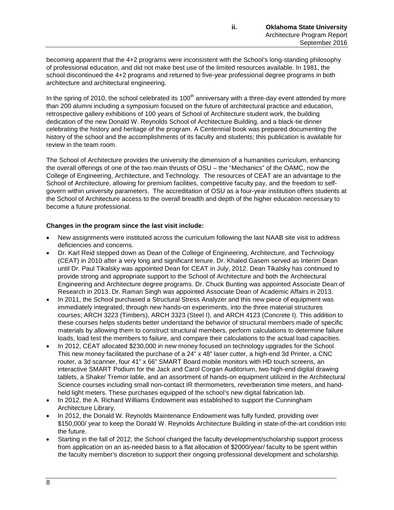becoming apparent that the 4+2 programs were inconsistent with the School's long-standing philosophy of professional education, and did not make best use of the limited resources available. In 1981, the school discontinued the 4+2 programs and returned to five-year professional degree programs in both architecture and architectural engineering.

In the spring of 2010, the school celebrated its  $100<sup>th</sup>$  anniversary with a three-day event attended by more than 200 alumni including a symposium focused on the future of architectural practice and education, retrospective gallery exhibitions of 100 years of School of Architecture student work, the building dedication of the new Donald W. Reynolds School of Architecture Building, and a black-tie dinner celebrating the history and heritage of the program. A Centennial book was prepared documenting the history of the school and the accomplishments of its faculty and students; this publication is available for review in the team room.

The School of Architecture provides the university the dimension of a humanities curriculum, enhancing the overall offerings of one of the two main thrusts of OSU – the "Mechanics" of the OAMC, now the College of Engineering, Architecture, and Technology. The resources of CEAT are an advantage to the School of Architecture, allowing for premium facilities, competitive faculty pay, and the freedom to selfgovern within university parameters. The accreditation of OSU as a four-year institution offers students at the School of Architecture access to the overall breadth and depth of the higher education necessary to become a future professional.

# **Changes in the program since the last visit include:**

- New assignments were instituted across the curriculum following the last NAAB site visit to address deficiencies and concerns.
- Dr. Karl Reid stepped down as Dean of the College of Engineering, Architecture, and Technology (CEAT) in 2010 after a very long and significant tenure. Dr. Khaled Gasem served as Interim Dean until Dr. Paul Tikalsky was appointed Dean for CEAT in July, 2012. Dean Tikalsky has continued to provide strong and appropriate support to the School of Architecture and both the Architectural Engineering and Architecture degree programs. Dr. Chuck Bunting was appointed Associate Dean of Research in 2013. Dr. Raman Singh was appointed Associate Dean of Academic Affairs in 2013.
- In 2011, the School purchased a Structural Stress Analyzer and this new piece of equipment was immediately integrated, through new hands-on experiments, into the three material structures courses; ARCH 3223 (Timbers), ARCH 3323 (Steel I), and ARCH 4123 (Concrete I). This addition to these courses helps students better understand the behavior of structural members made of specific materials by allowing them to construct structural members, perform calculations to determine failure loads, load test the members to failure, and compare their calculations to the actual load capacities.
- In 2012, CEAT allocated \$230,000 in new money focused on technology upgrades for the School. This new money facilitated the purchase of a 24" x 48" laser cutter, a high-end 3d Printer, a CNC router, a 3d scanner, four 41" x 66" SMART Board mobile monitors with HD touch screens, an interactive SMART Podium for the Jack and Carol Corgan Auditorium, two high-end digital drawing tablets, a Shake/ Tremor table, and an assortment of hands-on equipment utilized in the Architectural Science courses including small non-contact IR thermometers, reverberation time meters, and handheld light meters. These purchases equipped of the school's new digital fabrication lab.
- In 2012, the A. Richard Williams Endowment was established to support the Cunningham Architecture Library.
- In 2012, the Donald W. Reynolds Maintenance Endowment was fully funded, providing over \$150,000/ year to keep the Donald W. Reynolds Architecture Building in state-of-the-art condition into the future.
- Starting in the fall of 2012, the School changed the faculty development/scholarship support process from application on an as-needed basis to a flat allocation of \$2000/year/ faculty to be spent within the faculty member's discretion to support their ongoing professional development and scholarship.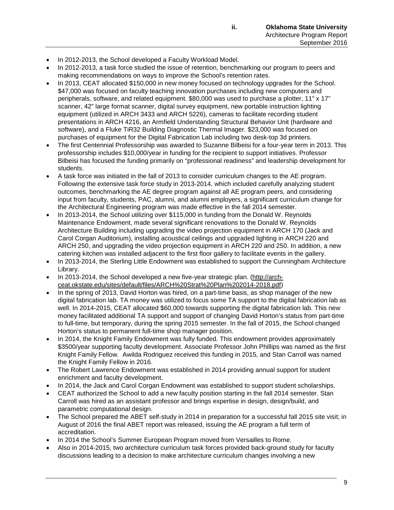- In 2012-2013, the School developed a Faculty Workload Model.
- In 2012-2013, a task force studied the issue of retention, benchmarking our program to peers and making recommendations on ways to improve the School's retention rates.
- In 2013, CEAT allocated \$150,000 in new money focused on technology upgrades for the School. \$47,000 was focused on faculty teaching innovation purchases including new computers and peripherals, software, and related equipment. \$80,000 was used to purchase a plotter, 11" x 17" scanner, 42" large format scanner, digital survey equipment, new portable instruction lighting equipment (utilized in ARCH 3433 and ARCH 5226), cameras to facilitate recording student presentations in ARCH 4216, an Armfield Understanding Structural Behavior Unit (hardware and software), and a Fluke TiR32 Building Diagnostic Thermal Imager. \$23,000 was focused on purchases of equipment for the Digital Fabrication Lab including two desk-top 3d printers.
- The first Centennial Professorship was awarded to Suzanne Bilbeisi for a four-year term in 2013. This professorship includes \$10,000/year in funding for the recipient to support initiatives. Professor Bilbeisi has focused the funding primarily on "professional readiness" and leadership development for students.
- A task force was initiated in the fall of 2013 to consider curriculum changes to the AE program. Following the extensive task force study in 2013-2014, which included carefully analyzing student outcomes, benchmarking the AE degree program against all AE program peers, and considering input from faculty, students, PAC, alumni, and alumni employers, a significant curriculum change for the Architectural Engineering program was made effective in the fall 2014 semester.
- In 2013-2014, the School utilizing over \$115,000 in funding from the Donald W. Reynolds Maintenance Endowment, made several significant renovations to the Donald W. Reynolds Architecture Building including upgrading the video projection equipment in ARCH 170 (Jack and Carol Corgan Auditorium), installing acoustical ceilings and upgraded lighting in ARCH 220 and ARCH 250, and upgrading the video projection equipment in ARCH 220 and 250. In addition, a new catering kitchen was installed adjacent to the first floor gallery to facilitate events in the gallery.
- In 2013-2014, the Sterling Little Endowment was established to support the Cunningham Architecture Library.
- In 2013-2014, the School developed a new five-year strategic plan. [\(http://arch](http://arch-ceat.okstate.edu/sites/default/files/ARCH%20Strat%20Plan%202014-2018.pdf)[ceat.okstate.edu/sites/default/files/ARCH%20Strat%20Plan%202014-2018.pdf\)](http://arch-ceat.okstate.edu/sites/default/files/ARCH%20Strat%20Plan%202014-2018.pdf)
- In the spring of 2013, David Horton was hired, on a part-time basis, as shop manager of the new digital fabrication lab. TA money was utilized to focus some TA support to the digital fabrication lab as well. In 2014-2015, CEAT allocated \$60,000 towards supporting the digital fabrication lab. This new money facilitated additional TA support and support of changing David Horton's status from part-time to full-time, but temporary, during the spring 2015 semester. In the fall of 2015, the School changed Horton's status to permanent full-time shop manager position.
- In 2014, the Knight Family Endowment was fully funded. This endowment provides approximately \$3500/year supporting faculty development. Associate Professor John Phillips was named as the first Knight Family Fellow. Awilda Rodriguez received this funding in 2015, and Stan Carroll was named the Knight Family Fellow in 2016.
- The Robert Lawrence Endowment was established in 2014 providing annual support for student enrichment and faculty development.
- In 2014, the Jack and Carol Corgan Endowment was established to support student scholarships.
- CEAT authorized the School to add a new faculty position starting in the fall 2014 semester. Stan Carroll was hired as an assistant professor and brings expertise in design, design/build, and parametric computational design.
- The School prepared the ABET self-study in 2014 in preparation for a successful fall 2015 site visit; in August of 2016 the final ABET report was released, issuing the AE program a full term of accreditation.
- In 2014 the School's Summer European Program moved from Versailles to Rome.
- Also in 2014-2015, two architecture curriculum task forces provided back-ground study for faculty discussions leading to a decision to make architecture curriculum changes involving a new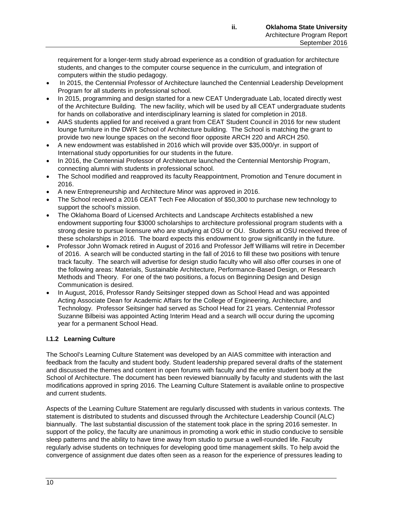requirement for a longer-term study abroad experience as a condition of graduation for architecture students, and changes to the computer course sequence in the curriculum, and integration of computers within the studio pedagogy.

- In 2015, the Centennial Professor of Architecture launched the Centennial Leadership Development Program for all students in professional school.
- In 2015, programming and design started for a new CEAT Undergraduate Lab, located directly west of the Architecture Building. The new facility, which will be used by all CEAT undergraduate students for hands on collaborative and interdisciplinary learning is slated for completion in 2018.
- AIAS students applied for and received a grant from CEAT Student Council in 2016 for new student lounge furniture in the DWR School of Architecture building. The School is matching the grant to provide two new lounge spaces on the second floor opposite ARCH 220 and ARCH 250.
- A new endowment was established in 2016 which will provide over \$35,000/yr. in support of International study opportunities for our students in the future.
- In 2016, the Centennial Professor of Architecture launched the Centennial Mentorship Program, connecting alumni with students in professional school.
- The School modified and reapproved its faculty Reappointment, Promotion and Tenure document in 2016.
- A new Entrepreneurship and Architecture Minor was approved in 2016.
- The School received a 2016 CEAT Tech Fee Allocation of \$50,300 to purchase new technology to support the school's mission.
- The Oklahoma Board of Licensed Architects and Landscape Architects established a new endowment supporting four \$3000 scholarships to architecture professional program students with a strong desire to pursue licensure who are studying at OSU or OU. Students at OSU received three of these scholarships in 2016. The board expects this endowment to grow significantly in the future.
- Professor John Womack retired in August of 2016 and Professor Jeff Williams will retire in December of 2016. A search will be conducted starting in the fall of 2016 to fill these two positions with tenure track faculty. The search will advertise for design studio faculty who will also offer courses in one of the following areas: Materials, Sustainable Architecture, Performance-Based Design, or Research Methods and Theory. For one of the two positions, a focus on Beginning Design and Design Communication is desired.
- In August, 2016, Professor Randy Seitsinger stepped down as School Head and was appointed Acting Associate Dean for Academic Affairs for the College of Engineering, Architecture, and Technology. Professor Seitsinger had served as School Head for 21 years. Centennial Professor Suzanne Bilbeisi was appointed Acting Interim Head and a search will occur during the upcoming year for a permanent School Head.

# **I.1.2 Learning Culture**

The School's Learning Culture Statement was developed by an AIAS committee with interaction and feedback from the faculty and student body. Student leadership prepared several drafts of the statement and discussed the themes and content in open forums with faculty and the entire student body at the School of Architecture. The document has been reviewed biannually by faculty and students with the last modifications approved in spring 2016. The Learning Culture Statement is available online to prospective and current students.

Aspects of the Learning Culture Statement are regularly discussed with students in various contexts. The statement is distributed to students and discussed through the Architecture Leadership Council (ALC) biannually. The last substantial discussion of the statement took place in the spring 2016 semester. In support of the policy, the faculty are unanimous in promoting a work ethic in studio conducive to sensible sleep patterns and the ability to have time away from studio to pursue a well-rounded life. Faculty regularly advise students on techniques for developing good time management skills. To help avoid the convergence of assignment due dates often seen as a reason for the experience of pressures leading to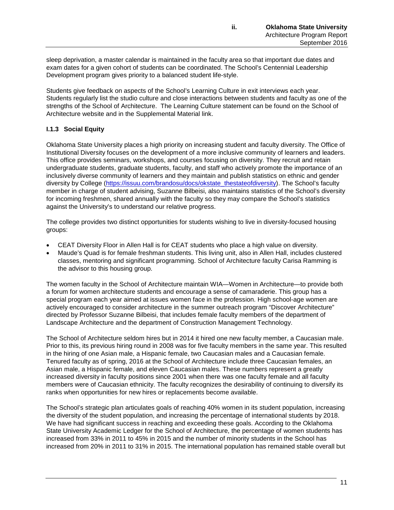sleep deprivation, a master calendar is maintained in the faculty area so that important due dates and exam dates for a given cohort of students can be coordinated. The School's Centennial Leadership Development program gives priority to a balanced student life-style.

Students give feedback on aspects of the School's Learning Culture in exit interviews each year. Students regularly list the studio culture and close interactions between students and faculty as one of the strengths of the School of Architecture. The Learning Culture statement can be found on the School of Architecture website and in the Supplemental Material link.

# **I.1.3 Social Equity**

Oklahoma State University places a high priority on increasing student and faculty diversity. The Office of Institutional Diversity focuses on the development of a more inclusive community of learners and leaders. This office provides seminars, workshops, and courses focusing on diversity. They recruit and retain undergraduate students, graduate students, faculty, and staff who actively promote the importance of an inclusively diverse community of learners and they maintain and publish statistics on ethnic and gender diversity by College [\(https://issuu.com/brandosu/docs/okstate\\_thestateofdiversity\)](https://issuu.com/brandosu/docs/okstate_thestateofdiversity). The School's faculty member in charge of student advising, Suzanne Bilbeisi, also maintains statistics of the School's diversity for incoming freshmen, shared annually with the faculty so they may compare the School's statistics against the University's to understand our relative progress.

The college provides two distinct opportunities for students wishing to live in diversity-focused housing groups:

- CEAT Diversity Floor in Allen Hall is for CEAT students who place a high value on diversity.
- Maude's Quad is for female freshman students. This living unit, also in Allen Hall, includes clustered classes, mentoring and significant programming. School of Architecture faculty Carisa Ramming is the advisor to this housing group.

The women faculty in the School of Architecture maintain WIA—Women in Architecture—to provide both a forum for women architecture students and encourage a sense of camaraderie. This group has a special program each year aimed at issues women face in the profession. High school-age women are actively encouraged to consider architecture in the summer outreach program "Discover Architecture" directed by Professor Suzanne Bilbeisi, that includes female faculty members of the department of Landscape Architecture and the department of Construction Management Technology.

The School of Architecture seldom hires but in 2014 it hired one new faculty member, a Caucasian male. Prior to this, its previous hiring round in 2008 was for five faculty members in the same year. This resulted in the hiring of one Asian male, a Hispanic female, two Caucasian males and a Caucasian female. Tenured faculty as of spring, 2016 at the School of Architecture include three Caucasian females, an Asian male, a Hispanic female, and eleven Caucasian males. These numbers represent a greatly increased diversity in faculty positions since 2001 when there was one faculty female and all faculty members were of Caucasian ethnicity. The faculty recognizes the desirability of continuing to diversify its ranks when opportunities for new hires or replacements become available.

The School's strategic plan articulates goals of reaching 40% women in its student population, increasing the diversity of the student population, and increasing the percentage of international students by 2018. We have had significant success in reaching and exceeding these goals. According to the Oklahoma State University Academic Ledger for the School of Architecture, the percentage of women students has increased from 33% in 2011 to 45% in 2015 and the number of minority students in the School has increased from 20% in 2011 to 31% in 2015. The international population has remained stable overall but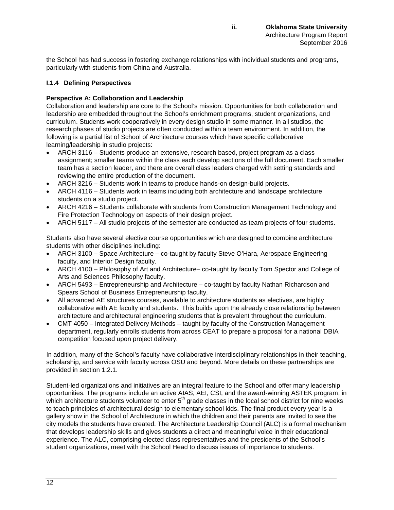the School has had success in fostering exchange relationships with individual students and programs, particularly with students from China and Australia.

# **I.1.4 Defining Perspectives**

### **Perspective A: Collaboration and Leadership**

Collaboration and leadership are core to the School's mission. Opportunities for both collaboration and leadership are embedded throughout the School's enrichment programs, student organizations, and curriculum. Students work cooperatively in every design studio in some manner. In all studios, the research phases of studio projects are often conducted within a team environment. In addition, the following is a partial list of School of Architecture courses which have specific collaborative learning/leadership in studio projects:

- ARCH 3116 Students produce an extensive, research based, project program as a class assignment; smaller teams within the class each develop sections of the full document. Each smaller team has a section leader, and there are overall class leaders charged with setting standards and reviewing the entire production of the document.
- ARCH 3216 Students work in teams to produce hands-on design-build projects.
- ARCH 4116 Students work in teams including both architecture and landscape architecture students on a studio project.
- ARCH 4216 Students collaborate with students from Construction Management Technology and Fire Protection Technology on aspects of their design project.
- ARCH 5117 All studio projects of the semester are conducted as team projects of four students.

Students also have several elective course opportunities which are designed to combine architecture students with other disciplines including:

- ARCH 3100 Space Architecture co-taught by faculty Steve O'Hara, Aerospace Engineering faculty, and Interior Design faculty.
- ARCH 4100 Philosophy of Art and Architecture– co-taught by faculty Tom Spector and College of Arts and Sciences Philosophy faculty.
- ARCH 5493 Entrepreneurship and Architecture co-taught by faculty Nathan Richardson and Spears School of Business Entrepreneurship faculty.
- All advanced AE structures courses, available to architecture students as electives, are highly collaborative with AE faculty and students. This builds upon the already close relationship between architecture and architectural engineering students that is prevalent throughout the curriculum.
- CMT 4050 Integrated Delivery Methods taught by faculty of the Construction Management department, regularly enrolls students from across CEAT to prepare a proposal for a national DBIA competition focused upon project delivery.

In addition, many of the School's faculty have collaborative interdisciplinary relationships in their teaching, scholarship, and service with faculty across OSU and beyond. More details on these partnerships are provided in section 1.2.1.

Student-led organizations and initiatives are an integral feature to the School and offer many leadership opportunities. The programs include an active AIAS, AEI, CSI, and the award-winning ASTEK program, in which architecture students volunteer to enter 5<sup>th</sup> grade classes in the local school district for nine weeks to teach principles of architectural design to elementary school kids. The final product every year is a gallery show in the School of Architecture in which the children and their parents are invited to see the city models the students have created. The Architecture Leadership Council (ALC) is a formal mechanism that develops leadership skills and gives students a direct and meaningful voice in their educational experience. The ALC, comprising elected class representatives and the presidents of the School's student organizations, meet with the School Head to discuss issues of importance to students.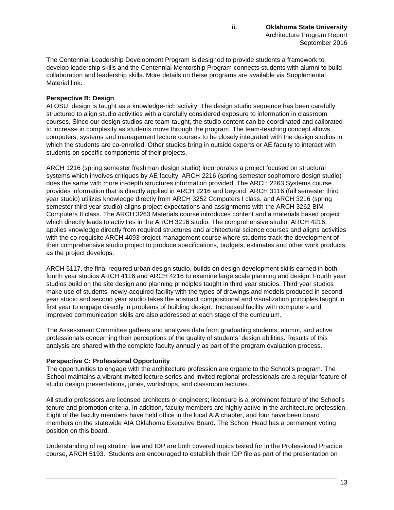The Centennial Leadership Development Program is designed to provide students a framework to develop leadership skills and the Centennial Mentorship Program connects students with alumni to build collaboration and leadership skills. More details on these programs are available via Supplemental Material link.

### **Perspective B: Design**

At OSU, design is taught as a knowledge-rich activity. The design studio sequence has been carefully structured to align studio activities with a carefully considered exposure to information in classroom courses. Since our design studios are team-taught, the studio content can be coordinated and calibrated to increase in complexity as students move through the program. The team-teaching concept allows computers, systems and management lecture courses to be closely integrated with the design studios in which the students are co-enrolled. Other studios bring in outside experts or AE faculty to interact with students on specific components of their projects.

ARCH 1216 (spring semester freshman design studio) incorporates a project focused on structural systems which involves critiques by AE faculty. ARCH 2216 (spring semester sophomore design studio) does the same with more in-depth structures information provided. The ARCH 2263 Systems course provides information that is directly applied in ARCH 2216 and beyond. ARCH 3116 (fall semester third year studio) utilizes knowledge directly from ARCH 3252 Computers I class, and ARCH 3216 (spring semester third year studio) aligns project expectations and assignments with the ARCH 3262 BIM Computers II class. The ARCH 3263 Materials course introduces content and a materials based project which directly leads to activities in the ARCH 3216 studio. The comprehensive studio, ARCH 4216, applies knowledge directly from required structures and architectural science courses and aligns activities with the co-requisite ARCH 4093 project management course where students track the development of their comprehensive studio project to produce specifications, budgets, estimates and other work products as the project develops.

ARCH 5117, the final required urban design studio, builds on design development skills earned in both fourth year studios ARCH 4116 and ARCH 4216 to examine large scale planning and design. Fourth year studios build on the site design and planning principles taught in third year studios. Third year studios make use of students' newly-acquired facility with the types of drawings and models produced in second year studio and second year studio takes the abstract compositional and visualization principles taught in first year to engage directly in problems of building design. Increased facility with computers and improved communication skills are also addressed at each stage of the curriculum.

The Assessment Committee gathers and analyzes data from graduating students, alumni, and active professionals concerning their perceptions of the quality of students' design abilities. Results of this analysis are shared with the complete faculty annually as part of the program evaluation process.

#### **Perspective C: Professional Opportunity**

The opportunities to engage with the architecture profession are organic to the School's program. The School maintains a vibrant invited lecture series and invited regional professionals are a regular feature of studio design presentations, juries, workshops, and classroom lectures.

All studio professors are licensed architects or engineers; licensure is a prominent feature of the School's tenure and promotion criteria. In addition, faculty members are highly active in the architecture profession. Eight of the faculty members have held office in the local AIA chapter, and four have been board members on the statewide AIA Oklahoma Executive Board. The School Head has a permanent voting position on this board.

Understanding of registration law and IDP are both covered topics tested for in the Professional Practice course, ARCH 5193. Students are encouraged to establish their IDP file as part of the presentation on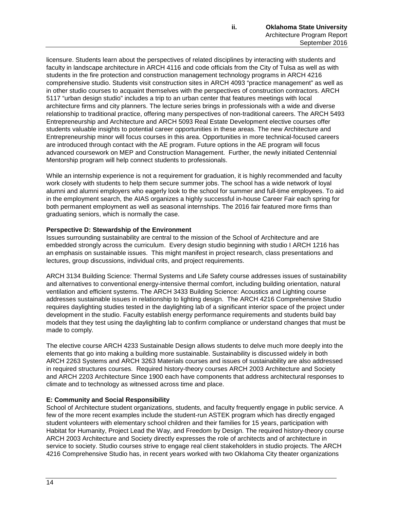licensure. Students learn about the perspectives of related disciplines by interacting with students and faculty in landscape architecture in ARCH 4116 and code officials from the City of Tulsa as well as with students in the fire protection and construction management technology programs in ARCH 4216 comprehensive studio. Students visit construction sites in ARCH 4093 "practice management" as well as in other studio courses to acquaint themselves with the perspectives of construction contractors. ARCH 5117 "urban design studio" includes a trip to an urban center that features meetings with local architecture firms and city planners. The lecture series brings in professionals with a wide and diverse relationship to traditional practice, offering many perspectives of non-traditional careers. The ARCH 5493 Entrepreneurship and Architecture and ARCH 5093 Real Estate Development elective courses offer students valuable insights to potential career opportunities in these areas. The new Architecture and Entrepreneurship minor will focus courses in this area. Opportunities in more technical-focused careers are introduced through contact with the AE program. Future options in the AE program will focus advanced coursework on MEP and Construction Management. Further, the newly initiated Centennial Mentorship program will help connect students to professionals.

While an internship experience is not a requirement for graduation, it is highly recommended and faculty work closely with students to help them secure summer jobs. The school has a wide network of loyal alumni and alumni employers who eagerly look to the school for summer and full-time employees. To aid in the employment search, the AIAS organizes a highly successful in-house Career Fair each spring for both permanent employment as well as seasonal internships. The 2016 fair featured more firms than graduating seniors, which is normally the case.

# **Perspective D: Stewardship of the Environment**

Issues surrounding sustainability are central to the mission of the School of Architecture and are embedded strongly across the curriculum. Every design studio beginning with studio I ARCH 1216 has an emphasis on sustainable issues. This might manifest in project research, class presentations and lectures, group discussions, individual crits, and project requirements.

ARCH 3134 Building Science: Thermal Systems and Life Safety course addresses issues of sustainability and alternatives to conventional energy-intensive thermal comfort, including building orientation, natural ventilation and efficient systems. The ARCH 3433 Building Science: Acoustics and Lighting course addresses sustainable issues in relationship to lighting design. The ARCH 4216 Comprehensive Studio requires daylighting studies tested in the daylighting lab of a significant interior space of the project under development in the studio. Faculty establish energy performance requirements and students build bay models that they test using the daylighting lab to confirm compliance or understand changes that must be made to comply.

The elective course ARCH 4233 Sustainable Design allows students to delve much more deeply into the elements that go into making a building more sustainable. Sustainability is discussed widely in both ARCH 2263 Systems and ARCH 3263 Materials courses and issues of sustainability are also addressed in required structures courses. Required history-theory courses ARCH 2003 Architecture and Society and ARCH 2203 Architecture Since 1900 each have components that address architectural responses to climate and to technology as witnessed across time and place.

# **E: Community and Social Responsibility**

School of Architecture student organizations, students, and faculty frequently engage in public service. A few of the more recent examples include the student-run ASTEK program which has directly engaged student volunteers with elementary school children and their families for 15 years, participation with Habitat for Humanity, Project Lead the Way, and Freedom by Design. The required history-theory course ARCH 2003 Architecture and Society directly expresses the role of architects and of architecture in service to society. Studio courses strive to engage real client stakeholders in studio projects. The ARCH 4216 Comprehensive Studio has, in recent years worked with two Oklahoma City theater organizations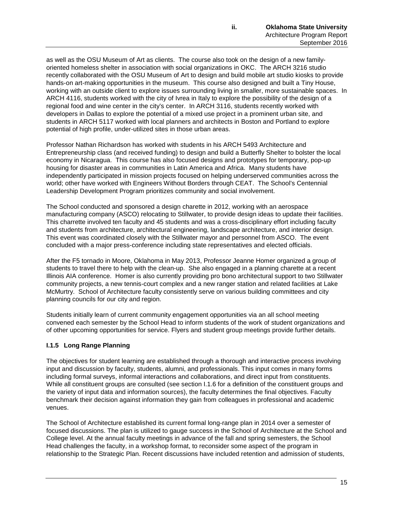as well as the OSU Museum of Art as clients. The course also took on the design of a new familyoriented homeless shelter in association with social organizations in OKC. The ARCH 3216 studio recently collaborated with the OSU Museum of Art to design and build mobile art studio kiosks to provide hands-on art-making opportunities in the museum. This course also designed and built a Tiny House, working with an outside client to explore issues surrounding living in smaller, more sustainable spaces. In ARCH 4116, students worked with the city of Ivrea in Italy to explore the possibility of the design of a regional food and wine center in the city's center. In ARCH 3116, students recently worked with developers in Dallas to explore the potential of a mixed use project in a prominent urban site, and students in ARCH 5117 worked with local planners and architects in Boston and Portland to explore potential of high profile, under-utilized sites in those urban areas.

Professor Nathan Richardson has worked with students in his ARCH 5493 Architecture and Entrepreneurship class (and received funding) to design and build a Butterfly Shelter to bolster the local economy in Nicaragua. This course has also focused designs and prototypes for temporary, pop-up housing for disaster areas in communities in Latin America and Africa. Many students have independently participated in mission projects focused on helping underserved communities across the world; other have worked with Engineers Without Borders through CEAT. The School's Centennial Leadership Development Program prioritizes community and social involvement.

The School conducted and sponsored a design charette in 2012, working with an aerospace manufacturing company (ASCO) relocating to Stillwater, to provide design ideas to update their facilities. This charrette involved ten faculty and 45 students and was a cross-disciplinary effort including faculty and students from architecture, architectural engineering, landscape architecture, and interior design. This event was coordinated closely with the Stillwater mayor and personnel from ASCO. The event concluded with a major press-conference including state representatives and elected officials.

After the F5 tornado in Moore, Oklahoma in May 2013, Professor Jeanne Homer organized a group of students to travel there to help with the clean-up. She also engaged in a planning charette at a recent Illinois AIA conference. Homer is also currently providing pro bono architectural support to two Stillwater community projects, a new tennis-court complex and a new ranger station and related facilities at Lake McMurtry. School of Architecture faculty consistently serve on various building committees and city planning councils for our city and region.

Students initially learn of current community engagement opportunities via an all school meeting convened each semester by the School Head to inform students of the work of student organizations and of other upcoming opportunities for service. Flyers and student group meetings provide further details.

### **I.1.5 Long Range Planning**

The objectives for student learning are established through a thorough and interactive process involving input and discussion by faculty, students, alumni, and professionals. This input comes in many forms including formal surveys, informal interactions and collaborations, and direct input from constituents. While all constituent groups are consulted (see section 1.1.6 for a definition of the constituent groups and the variety of input data and information sources), the faculty determines the final objectives. Faculty benchmark their decision against information they gain from colleagues in professional and academic venues.

The School of Architecture established its current formal long-range plan in 2014 over a semester of focused discussions. The plan is utilized to gauge success in the School of Architecture at the School and College level. At the annual faculty meetings in advance of the fall and spring semesters, the School Head challenges the faculty, in a workshop format, to reconsider some aspect of the program in relationship to the Strategic Plan. Recent discussions have included retention and admission of students,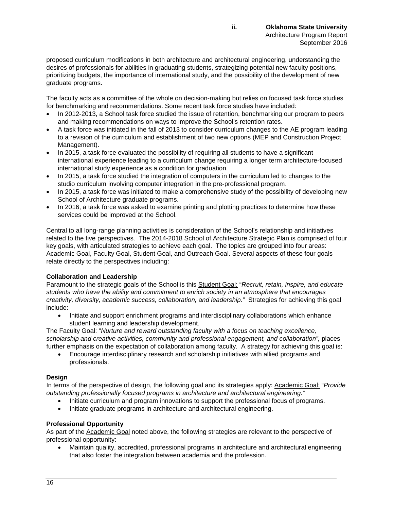proposed curriculum modifications in both architecture and architectural engineering, understanding the desires of professionals for abilities in graduating students, strategizing potential new faculty positions, prioritizing budgets, the importance of international study, and the possibility of the development of new graduate programs.

The faculty acts as a committee of the whole on decision-making but relies on focused task force studies for benchmarking and recommendations. Some recent task force studies have included:

- In 2012-2013, a School task force studied the issue of retention, benchmarking our program to peers and making recommendations on ways to improve the School's retention rates.
- A task force was initiated in the fall of 2013 to consider curriculum changes to the AE program leading to a revision of the curriculum and establishment of two new options (MEP and Construction Project Management).
- In 2015, a task force evaluated the possibility of requiring all students to have a significant international experience leading to a curriculum change requiring a longer term architecture-focused international study experience as a condition for graduation.
- In 2015, a task force studied the integration of computers in the curriculum led to changes to the studio curriculum involving computer integration in the pre-professional program.
- In 2015, a task force was initiated to make a comprehensive study of the possibility of developing new School of Architecture graduate programs.
- In 2016, a task force was asked to examine printing and plotting practices to determine how these services could be improved at the School.

Central to all long-range planning activities is consideration of the School's relationship and initiatives related to the five perspectives. The 2014-2018 School of Architecture Strategic Plan is comprised of four key goals, with articulated strategies to achieve each goal. The topics are grouped into four areas: Academic Goal, Faculty Goal, Student Goal, and Outreach Goal. Several aspects of these four goals relate directly to the perspectives including:

### **Collaboration and Leadership**

Paramount to the strategic goals of the School is this Student Goal: "*Recruit, retain, inspire, and educate students who have the ability and commitment to enrich society in an atmosphere that encourages creativity, diversity, academic success, collaboration, and leadership."* Strategies for achieving this goal include:

• Initiate and support enrichment programs and interdisciplinary collaborations which enhance student learning and leadership development.

The Faculty Goal: "*Nurture and reward outstanding faculty with a focus on teaching excellence, scholarship and creative activities, community and professional engagement, and collaboration",* places further emphasis on the expectation of collaboration among faculty. A strategy for achieving this goal is:

• Encourage interdisciplinary research and scholarship initiatives with allied programs and professionals.

### **Design**

In terms of the perspective of design, the following goal and its strategies apply: Academic Goal: "*Provide outstanding professionally focused programs in architecture and architectural engineering."*

- Initiate curriculum and program innovations to support the professional focus of programs.
	- Initiate graduate programs in architecture and architectural engineering.

# **Professional Opportunity**

As part of the Academic Goal noted above, the following strategies are relevant to the perspective of professional opportunity:

• Maintain quality, accredited, professional programs in architecture and architectural engineering that also foster the integration between academia and the profession.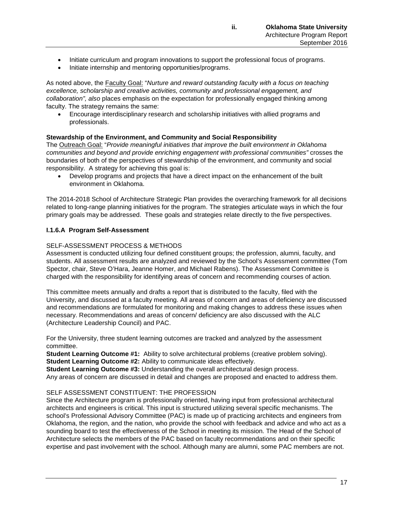- Initiate curriculum and program innovations to support the professional focus of programs.
- Initiate internship and mentoring opportunities/programs.

As noted above, the Faculty Goal: "*Nurture and reward outstanding faculty with a focus on teaching excellence, scholarship and creative activities, community and professional engagement, and collaboration", also* places emphasis on the expectation for professionally engaged thinking among faculty. The strategy remains the same:

• Encourage interdisciplinary research and scholarship initiatives with allied programs and professionals.

#### **Stewardship of the Environment, and Community and Social Responsibility**

The Outreach Goal: "*Provide meaningful initiatives that improve the built environment in Oklahoma communities and beyond and provide enriching engagement with professional communities"* crosses the boundaries of both of the perspectives of stewardship of the environment, and community and social responsibility. A strategy for achieving this goal is:

• Develop programs and projects that have a direct impact on the enhancement of the built environment in Oklahoma.

The 2014-2018 School of Architecture Strategic Plan provides the overarching framework for all decisions related to long-range planning initiatives for the program. The strategies articulate ways in which the four primary goals may be addressed. These goals and strategies relate directly to the five perspectives.

### **I.1.6.A Program Self-Assessment**

#### SELF-ASSESSMENT PROCESS & METHODS

Assessment is conducted utilizing four defined constituent groups; the profession, alumni, faculty, and students. All assessment results are analyzed and reviewed by the School's Assessment committee (Tom Spector, chair, Steve O'Hara, Jeanne Homer, and Michael Rabens). The Assessment Committee is charged with the responsibility for identifying areas of concern and recommending courses of action.

This committee meets annually and drafts a report that is distributed to the faculty, filed with the University, and discussed at a faculty meeting. All areas of concern and areas of deficiency are discussed and recommendations are formulated for monitoring and making changes to address these issues when necessary. Recommendations and areas of concern/ deficiency are also discussed with the ALC (Architecture Leadership Council) and PAC.

For the University, three student learning outcomes are tracked and analyzed by the assessment committee.

**Student Learning Outcome #1:** Ability to solve architectural problems (creative problem solving). **Student Learning Outcome #2:** Ability to communicate ideas effectively.

**Student Learning Outcome #3:** Understanding the overall architectural design process.

Any areas of concern are discussed in detail and changes are proposed and enacted to address them.

#### SELF ASSESSMENT CONSTITUENT: THE PROFESSION

Since the Architecture program is professionally oriented, having input from professional architectural architects and engineers is critical. This input is structured utilizing several specific mechanisms. The school's Professional Advisory Committee (PAC) is made up of practicing architects and engineers from Oklahoma, the region, and the nation, who provide the school with feedback and advice and who act as a sounding board to test the effectiveness of the School in meeting its mission. The Head of the School of Architecture selects the members of the PAC based on faculty recommendations and on their specific expertise and past involvement with the school. Although many are alumni, some PAC members are not.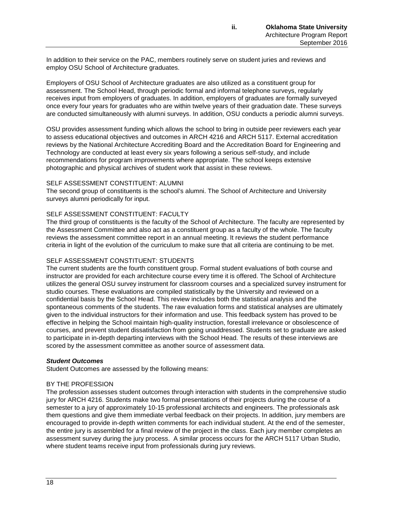In addition to their service on the PAC, members routinely serve on student juries and reviews and employ OSU School of Architecture graduates.

Employers of OSU School of Architecture graduates are also utilized as a constituent group for assessment. The School Head, through periodic formal and informal telephone surveys, regularly receives input from employers of graduates. In addition, employers of graduates are formally surveyed once every four years for graduates who are within twelve years of their graduation date. These surveys are conducted simultaneously with alumni surveys. In addition, OSU conducts a periodic alumni surveys.

OSU provides assessment funding which allows the school to bring in outside peer reviewers each year to assess educational objectives and outcomes in ARCH 4216 and ARCH 5117. External accreditation reviews by the National Architecture Accrediting Board and the Accreditation Board for Engineering and Technology are conducted at least every six years following a serious self-study, and include recommendations for program improvements where appropriate. The school keeps extensive photographic and physical archives of student work that assist in these reviews.

#### SELF ASSESSMENT CONSTITUENT: ALUMNI

The second group of constituents is the school's alumni. The School of Architecture and University surveys alumni periodically for input.

### SELF ASSESSMENT CONSTITUENT: FACULTY

The third group of constituents is the faculty of the School of Architecture. The faculty are represented by the Assessment Committee and also act as a constituent group as a faculty of the whole. The faculty reviews the assessment committee report in an annual meeting. It reviews the student performance criteria in light of the evolution of the curriculum to make sure that all criteria are continuing to be met.

### SELF ASSESSMENT CONSTITUENT: STUDENTS

The current students are the fourth constituent group. Formal student evaluations of both course and instructor are provided for each architecture course every time it is offered. The School of Architecture utilizes the general OSU survey instrument for classroom courses and a specialized survey instrument for studio courses. These evaluations are compiled statistically by the University and reviewed on a confidential basis by the School Head. This review includes both the statistical analysis and the spontaneous comments of the students. The raw evaluation forms and statistical analyses are ultimately given to the individual instructors for their information and use. This feedback system has proved to be effective in helping the School maintain high-quality instruction, forestall irrelevance or obsolescence of courses, and prevent student dissatisfaction from going unaddressed. Students set to graduate are asked to participate in in-depth departing interviews with the School Head. The results of these interviews are scored by the assessment committee as another source of assessment data.

### *Student Outcomes*

Student Outcomes are assessed by the following means:

### BY THE PROFESSION

The profession assesses student outcomes through interaction with students in the comprehensive studio jury for ARCH 4216. Students make two formal presentations of their projects during the course of a semester to a jury of approximately 10-15 professional architects and engineers. The professionals ask them questions and give them immediate verbal feedback on their projects. In addition, jury members are encouraged to provide in-depth written comments for each individual student. At the end of the semester, the entire jury is assembled for a final review of the project in the class. Each jury member completes an assessment survey during the jury process. A similar process occurs for the ARCH 5117 Urban Studio, where student teams receive input from professionals during jury reviews.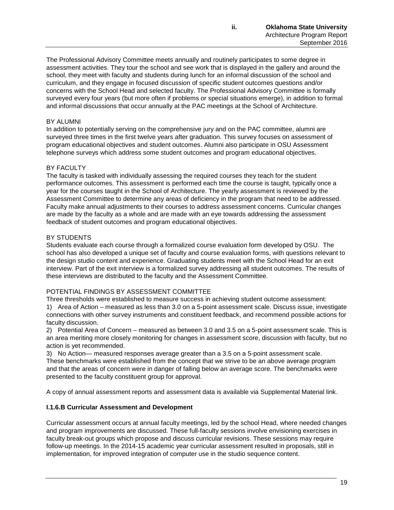The Professional Advisory Committee meets annually and routinely participates to some degree in assessment activities. They tour the school and see work that is displayed in the gallery and around the school, they meet with faculty and students during lunch for an informal discussion of the school and curriculum, and they engage in focused discussion of specific student outcomes questions and/or concerns with the School Head and selected faculty. The Professional Advisory Committee is formally surveyed every four years (but more often if problems or special situations emerge), in addition to formal and informal discussions that occur annually at the PAC meetings at the School of Architecture.

# BY ALUMNI

In addition to potentially serving on the comprehensive jury and on the PAC committee, alumni are surveyed three times in the first twelve years after graduation. This survey focuses on assessment of program educational objectives and student outcomes. Alumni also participate in OSU Assessment telephone surveys which address some student outcomes and program educational objectives.

### BY FACULTY

The faculty is tasked with individually assessing the required courses they teach for the student performance outcomes. This assessment is performed each time the course is taught, typically once a year for the courses taught in the School of Architecture. The yearly assessment is reviewed by the Assessment Committee to determine any areas of deficiency in the program that need to be addressed. Faculty make annual adjustments to their courses to address assessment concerns. Curricular changes are made by the faculty as a whole and are made with an eye towards addressing the assessment feedback of student outcomes and program educational objectives.

# BY STUDENTS

Students evaluate each course through a formalized course evaluation form developed by OSU. The school has also developed a unique set of faculty and course evaluation forms, with questions relevant to the design studio content and experience. Graduating students meet with the School Head for an exit interview. Part of the exit interview is a formalized survey addressing all student outcomes. The results of these interviews are distributed to the faculty and the Assessment Committee.

### POTENTIAL FINDINGS BY ASSESSMENT COMMITTEE

Three thresholds were established to measure success in achieving student outcome assessment: 1) Area of Action – measured as less than 3.0 on a 5-point assessment scale. Discuss issue, investigate connections with other survey instruments and constituent feedback, and recommend possible actions for faculty discussion.

2) Potential Area of Concern – measured as between 3.0 and 3.5 on a 5-point assessment scale. This is an area meriting more closely monitoring for changes in assessment score, discussion with faculty, but no action is yet recommended.

3) No Action— measured responses average greater than a 3.5 on a 5-point assessment scale. These benchmarks were established from the concept that we strive to be an above average program and that the areas of concern were in danger of falling below an average score. The benchmarks were presented to the faculty constituent group for approval.

A copy of annual assessment reports and assessment data is available via Supplemental Material link.

# **I.1.6.B Curricular Assessment and Development**

Curricular assessment occurs at annual faculty meetings, led by the school Head, where needed changes and program improvements are discussed. These full-faculty sessions involve envisioning exercises in faculty break-out groups which propose and discuss curricular revisions. These sessions may require follow-up meetings. In the 2014-15 academic year curricular assessment resulted in proposals, still in implementation, for improved integration of computer use in the studio sequence content.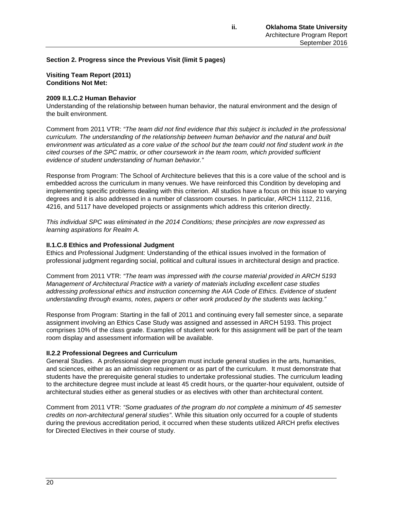**Section 2. Progress since the Previous Visit (limit 5 pages)**

**Visiting Team Report (2011) Conditions Not Met:**

### **2009 II.1.C.2 Human Behavior**

Understanding of the relationship between human behavior, the natural environment and the design of the built environment.

Comment from 2011 VTR: *"The team did not find evidence that this subject is included in the professional curriculum. The understanding of the relationship between human behavior and the natural and built environment was articulated as a core value of the school but the team could not find student work in the cited courses of the SPC matrix, or other coursework in the team room, which provided sufficient evidence of student understanding of human behavior."*

Response from Program: The School of Architecture believes that this is a core value of the school and is embedded across the curriculum in many venues. We have reinforced this Condition by developing and implementing specific problems dealing with this criterion. All studios have a focus on this issue to varying degrees and it is also addressed in a number of classroom courses. In particular, ARCH 1112, 2116, 4216, and 5117 have developed projects or assignments which address this criterion directly.

*This individual SPC was eliminated in the 2014 Conditions; these principles are now expressed as learning aspirations for Realm A.*

#### **II.1.C.8 Ethics and Professional Judgment**

Ethics and Professional Judgment: Understanding of the ethical issues involved in the formation of professional judgment regarding social, political and cultural issues in architectural design and practice.

Comment from 2011 VTR: *"The team was impressed with the course material provided in ARCH 5193 Management of Architectural Practice with a variety of materials including excellent case studies addressing professional ethics and instruction concerning the AIA Code of Ethics. Evidence of student understanding through exams, notes, papers or other work produced by the students was lacking."* 

Response from Program: Starting in the fall of 2011 and continuing every fall semester since, a separate assignment involving an Ethics Case Study was assigned and assessed in ARCH 5193. This project comprises 10% of the class grade. Examples of student work for this assignment will be part of the team room display and assessment information will be available.

### **II.2.2 Professional Degrees and Curriculum**

General Studies. A professional degree program must include general studies in the arts, humanities, and sciences, either as an admission requirement or as part of the curriculum. It must demonstrate that students have the prerequisite general studies to undertake professional studies. The curriculum leading to the architecture degree must include at least 45 credit hours, or the quarter-hour equivalent, outside of architectural studies either as general studies or as electives with other than architectural content.

Comment from 2011 VTR: *"Some graduates of the program do not complete a minimum of 45 semester credits on non-architectural general studies"*. While this situation only occurred for a couple of students during the previous accreditation period, it occurred when these students utilized ARCH prefix electives for Directed Electives in their course of study.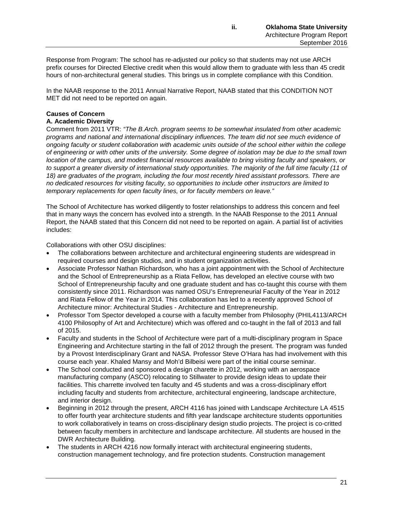Response from Program: The school has re-adjusted our policy so that students may not use ARCH prefix courses for Directed Elective credit when this would allow them to graduate with less than 45 credit hours of non-architectural general studies. This brings us in complete compliance with this Condition.

In the NAAB response to the 2011 Annual Narrative Report, NAAB stated that this CONDITION NOT MET did not need to be reported on again.

# **Causes of Concern**

# **A. Academic Diversity**

Comment from 2011 VTR: *"The B.Arch. program seems to be somewhat insulated from other academic programs and national and international disciplinary influences. The team did not see much evidence of ongoing faculty or student collaboration with academic units outside of the school either within the college of engineering or with other units of the university. Some degree of isolation may be due to the small town location of the campus, and modest financial resources available to bring visiting faculty and speakers, or to support a greater diversity of international study opportunities. The majority of the full time faculty (11 of*  18) are graduates of the program, including the four most recently hired assistant professors. There are *no dedicated resources for visiting faculty, so opportunities to include other instructors are limited to temporary replacements for open faculty lines, or for faculty members on leave."*

The School of Architecture has worked diligently to foster relationships to address this concern and feel that in many ways the concern has evolved into a strength. In the NAAB Response to the 2011 Annual Report, the NAAB stated that this Concern did not need to be reported on again. A partial list of activities includes:

Collaborations with other OSU disciplines:

- The collaborations between architecture and architectural engineering students are widespread in required courses and design studios, and in student organization activities.
- Associate Professor Nathan Richardson, who has a joint appointment with the School of Architecture and the School of Entrepreneurship as a Riata Fellow, has developed an elective course with two School of Entrepreneurship faculty and one graduate student and has co-taught this course with them consistently since 2011. Richardson was named OSU's Entrepreneurial Faculty of the Year in 2012 and Riata Fellow of the Year in 2014. This collaboration has led to a recently approved School of Architecture minor: Architectural Studies - Architecture and Entrepreneurship.
- Professor Tom Spector developed a course with a faculty member from Philosophy (PHIL4113/ARCH 4100 Philosophy of Art and Architecture) which was offered and co-taught in the fall of 2013 and fall of 2015.
- Faculty and students in the School of Architecture were part of a multi-disciplinary program in Space Engineering and Architecture starting in the fall of 2012 through the present. The program was funded by a Provost Interdisciplinary Grant and NASA. Professor Steve O'Hara has had involvement with this course each year. Khaled Mansy and Moh'd Bilbeisi were part of the initial course seminar.
- The School conducted and sponsored a design charette in 2012, working with an aerospace manufacturing company (ASCO) relocating to Stillwater to provide design ideas to update their facilities. This charrette involved ten faculty and 45 students and was a cross-disciplinary effort including faculty and students from architecture, architectural engineering, landscape architecture, and interior design.
- Beginning in 2012 through the present, ARCH 4116 has joined with Landscape Architecture LA 4515 to offer fourth year architecture students and fifth year landscape architecture students opportunities to work collaboratively in teams on cross-disciplinary design studio projects. The project is co-critted between faculty members in architecture and landscape architecture. All students are housed in the DWR Architecture Building.
- The students in ARCH 4216 now formally interact with architectural engineering students, construction management technology, and fire protection students. Construction management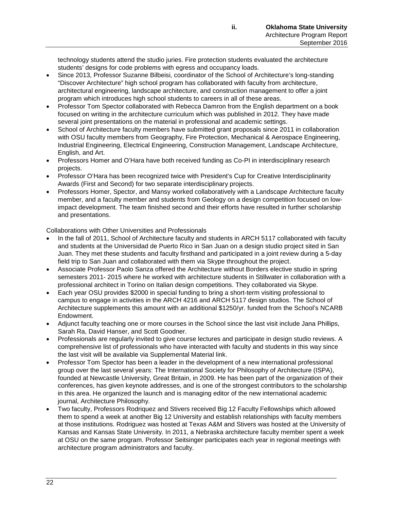technology students attend the studio juries. Fire protection students evaluated the architecture students' designs for code problems with egress and occupancy loads.

- Since 2013, Professor Suzanne Bilbeisi, coordinator of the School of Architecture's long-standing "Discover Architecture" high school program has collaborated with faculty from architecture, architectural engineering, landscape architecture, and construction management to offer a joint program which introduces high school students to careers in all of these areas.
- Professor Tom Spector collaborated with Rebecca Damron from the English department on a book focused on writing in the architecture curriculum which was published in 2012. They have made several joint presentations on the material in professional and academic settings.
- School of Architecture faculty members have submitted grant proposals since 2011 in collaboration with OSU faculty members from Geography, Fire Protection, Mechanical & Aerospace Engineering, Industrial Engineering, Electrical Engineering, Construction Management, Landscape Architecture, English, and Art.
- Professors Homer and O'Hara have both received funding as Co-PI in interdisciplinary research projects.
- Professor O'Hara has been recognized twice with President's Cup for Creative Interdisciplinarity Awards (First and Second) for two separate interdisciplinary projects.
- Professors Homer, Spector, and Mansy worked collaboratively with a Landscape Architecture faculty member, and a faculty member and students from Geology on a design competition focused on lowimpact development. The team finished second and their efforts have resulted in further scholarship and presentations.

Collaborations with Other Universities and Professionals

- In the fall of 2011, School of Architecture faculty and students in ARCH 5117 collaborated with faculty and students at the Universidad de Puerto Rico in San Juan on a design studio project sited in San Juan. They met these students and faculty firsthand and participated in a joint review during a 5-day field trip to San Juan and collaborated with them via Skype throughout the project.
- Associate Professor Paolo Sanza offered the Architecture without Borders elective studio in spring semesters 2011- 2015 where he worked with architecture students in Stillwater in collaboration with a professional architect in Torino on Italian design competitions. They collaborated via Skype.
- Each year OSU provides \$2000 in special funding to bring a short-term visiting professional to campus to engage in activities in the ARCH 4216 and ARCH 5117 design studios. The School of Architecture supplements this amount with an additional \$1250/yr. funded from the School's NCARB Endowment.
- Adjunct faculty teaching one or more courses in the School since the last visit include Jana Phillips, Sarah Ra, David Hanser, and Scott Goodner.
- Professionals are regularly invited to give course lectures and participate in design studio reviews. A comprehensive list of professionals who have interacted with faculty and students in this way since the last visit will be available via Supplemental Material link.
- Professor Tom Spector has been a leader in the development of a new international professional group over the last several years: The International Society for Philosophy of Architecture (ISPA), founded at Newcastle University, Great Britain, in 2009. He has been part of the organization of their conferences, has given keynote addresses, and is one of the strongest contributors to the scholarship in this area. He organized the launch and is managing editor of the new international academic journal, Architecture Philosophy.
- Two faculty, Professors Rodriquez and Stivers received Big 12 Faculty Fellowships which allowed them to spend a week at another Big 12 University and establish relationships with faculty members at those institutions. Rodriguez was hosted at Texas A&M and Stivers was hosted at the University of Kansas and Kansas State University. In 2011, a Nebraska architecture faculty member spent a week at OSU on the same program. Professor Seitsinger participates each year in regional meetings with architecture program administrators and faculty.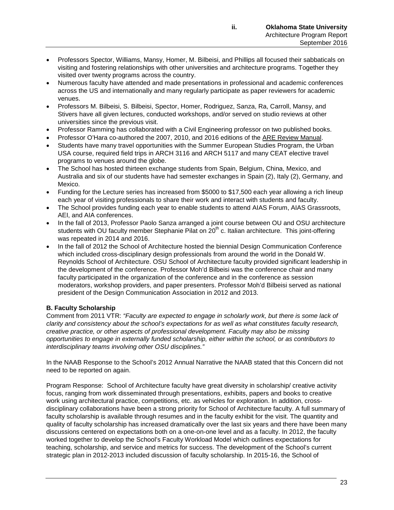- Professors Spector, Williams, Mansy, Homer, M. Bilbeisi, and Phillips all focused their sabbaticals on visiting and fostering relationships with other universities and architecture programs. Together they visited over twenty programs across the country.
- Numerous faculty have attended and made presentations in professional and academic conferences across the US and internationally and many regularly participate as paper reviewers for academic venues.
- Professors M. Bilbeisi, S. Bilbeisi, Spector, Homer, Rodriguez, Sanza, Ra, Carroll, Mansy, and Stivers have all given lectures, conducted workshops, and/or served on studio reviews at other universities since the previous visit.
- Professor Ramming has collaborated with a Civil Engineering professor on two published books.
- Professor O'Hara co-authored the 2007, 2010, and 2016 editions of the ARE Review Manual.
- Students have many travel opportunities with the Summer European Studies Program, the Urban USA course, required field trips in ARCH 3116 and ARCH 5117 and many CEAT elective travel programs to venues around the globe.
- The School has hosted thirteen exchange students from Spain, Belgium, China, Mexico, and Australia and six of our students have had semester exchanges in Spain (2), Italy (2), Germany, and Mexico.
- Funding for the Lecture series has increased from \$5000 to \$17,500 each year allowing a rich lineup each year of visiting professionals to share their work and interact with students and faculty.
- The School provides funding each year to enable students to attend AIAS Forum, AIAS Grassroots, AEI, and AIA conferences.
- In the fall of 2013, Professor Paolo Sanza arranged a joint course between OU and OSU architecture students with OU faculty member Stephanie Pilat on  $20<sup>th</sup>$  c. Italian architecture. This joint-offering was repeated in 2014 and 2016.
- In the fall of 2012 the School of Architecture hosted the biennial Design Communication Conference which included cross-disciplinary design professionals from around the world in the Donald W. Reynolds School of Architecture. OSU School of Architecture faculty provided significant leadership in the development of the conference. Professor Moh'd Bilbeisi was the conference chair and many faculty participated in the organization of the conference and in the conference as session moderators, workshop providers, and paper presenters. Professor Moh'd Bilbeisi served as national president of the Design Communication Association in 2012 and 2013.

# **B. Faculty Scholarship**

Comment from 2011 VTR: *"Faculty are expected to engage in scholarly work, but there is some lack of clarity and consistency about the school's expectations for as well as what constitutes faculty research, creative practice, or other aspects of professional development. Faculty may also be missing opportunities to engage in externally funded scholarship, either within the school, or as contributors to interdisciplinary teams involving other OSU disciplines."*

In the NAAB Response to the School's 2012 Annual Narrative the NAAB stated that this Concern did not need to be reported on again.

Program Response: School of Architecture faculty have great diversity in scholarship/ creative activity focus, ranging from work disseminated through presentations, exhibits, papers and books to creative work using architectural practice, competitions, etc. as vehicles for exploration. In addition, crossdisciplinary collaborations have been a strong priority for School of Architecture faculty. A full summary of faculty scholarship is available through resumes and in the faculty exhibit for the visit. The quantity and quality of faculty scholarship has increased dramatically over the last six years and there have been many discussions centered on expectations both on a one-on-one level and as a faculty. In 2012, the faculty worked together to develop the School's Faculty Workload Model which outlines expectations for teaching, scholarship, and service and metrics for success. The development of the School's current strategic plan in 2012-2013 included discussion of faculty scholarship. In 2015-16, the School of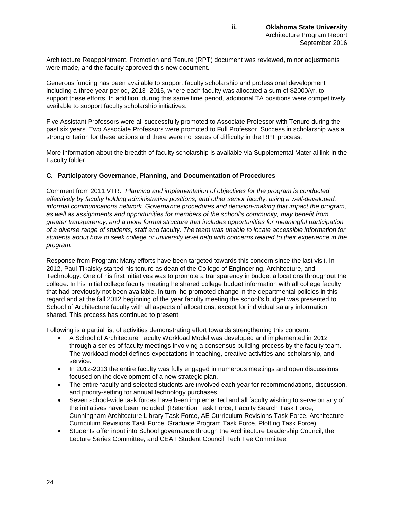Architecture Reappointment, Promotion and Tenure (RPT) document was reviewed, minor adjustments were made, and the faculty approved this new document.

Generous funding has been available to support faculty scholarship and professional development including a three year-period, 2013- 2015, where each faculty was allocated a sum of \$2000/yr. to support these efforts. In addition, during this same time period, additional TA positions were competitively available to support faculty scholarship initiatives.

Five Assistant Professors were all successfully promoted to Associate Professor with Tenure during the past six years. Two Associate Professors were promoted to Full Professor. Success in scholarship was a strong criterion for these actions and there were no issues of difficulty in the RPT process.

More information about the breadth of faculty scholarship is available via Supplemental Material link in the Faculty folder.

### **C. Participatory Governance, Planning, and Documentation of Procedures**

Comment from 2011 VTR: *"Planning and implementation of objectives for the program is conducted effectively by faculty holding administrative positions, and other senior faculty, using a well-developed, informal communications network. Governance procedures and decision-making that impact the program, as well as assignments and opportunities for members of the school's community, may benefit from greater transparency, and a more formal structure that includes opportunities for meaningful participation of a diverse range of students, staff and faculty. The team was unable to locate accessible information for students about how to seek college or university level help with concerns related to their experience in the program."*

Response from Program: Many efforts have been targeted towards this concern since the last visit. In 2012, Paul Tikalsky started his tenure as dean of the College of Engineering, Architecture, and Technology. One of his first initiatives was to promote a transparency in budget allocations throughout the college. In his initial college faculty meeting he shared college budget information with all college faculty that had previously not been available. In turn, he promoted change in the departmental policies in this regard and at the fall 2012 beginning of the year faculty meeting the school's budget was presented to School of Architecture faculty with all aspects of allocations, except for individual salary information, shared. This process has continued to present.

Following is a partial list of activities demonstrating effort towards strengthening this concern:

- A School of Architecture Faculty Workload Model was developed and implemented in 2012 through a series of faculty meetings involving a consensus building process by the faculty team. The workload model defines expectations in teaching, creative activities and scholarship, and service.
- In 2012-2013 the entire faculty was fully engaged in numerous meetings and open discussions focused on the development of a new strategic plan.
- The entire faculty and selected students are involved each year for recommendations, discussion, and priority-setting for annual technology purchases.
- Seven school-wide task forces have been implemented and all faculty wishing to serve on any of the initiatives have been included. (Retention Task Force, Faculty Search Task Force, Cunningham Architecture Library Task Force, AE Curriculum Revisions Task Force, Architecture Curriculum Revisions Task Force, Graduate Program Task Force, Plotting Task Force).
- Students offer input into School governance through the Architecture Leadership Council, the Lecture Series Committee, and CEAT Student Council Tech Fee Committee.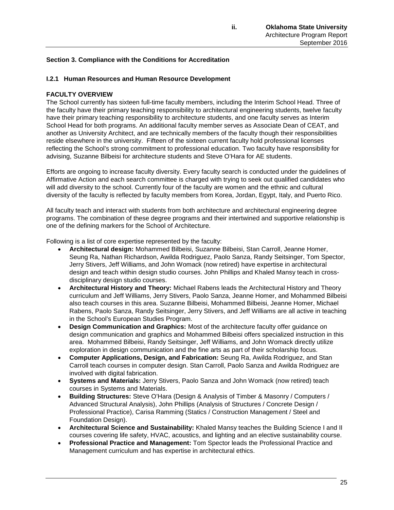# **Section 3. Compliance with the Conditions for Accreditation**

### **I.2.1 Human Resources and Human Resource Development**

### **FACULTY OVERVIEW**

The School currently has sixteen full-time faculty members, including the Interim School Head. Three of the faculty have their primary teaching responsibility to architectural engineering students, twelve faculty have their primary teaching responsibility to architecture students, and one faculty serves as Interim School Head for both programs. An additional faculty member serves as Associate Dean of CEAT, and another as University Architect, and are technically members of the faculty though their responsibilities reside elsewhere in the university. Fifteen of the sixteen current faculty hold professional licenses reflecting the School's strong commitment to professional education. Two faculty have responsibility for advising, Suzanne Bilbeisi for architecture students and Steve O'Hara for AE students.

Efforts are ongoing to increase faculty diversity. Every faculty search is conducted under the guidelines of Affirmative Action and each search committee is charged with trying to seek out qualified candidates who will add diversity to the school. Currently four of the faculty are women and the ethnic and cultural diversity of the faculty is reflected by faculty members from Korea, Jordan, Egypt, Italy, and Puerto Rico.

All faculty teach and interact with students from both architecture and architectural engineering degree programs. The combination of these degree programs and their intertwined and supportive relationship is one of the defining markers for the School of Architecture.

Following is a list of core expertise represented by the faculty:

- **Architectural design:** Mohammed Bilbeisi, Suzanne Bilbeisi, Stan Carroll, Jeanne Homer, Seung Ra, Nathan Richardson, Awilda Rodriguez, Paolo Sanza, Randy Seitsinger, Tom Spector, Jerry Stivers, Jeff Williams, and John Womack (now retired) have expertise in architectural design and teach within design studio courses. John Phillips and Khaled Mansy teach in crossdisciplinary design studio courses.
- **Architectural History and Theory:** Michael Rabens leads the Architectural History and Theory curriculum and Jeff Williams, Jerry Stivers, Paolo Sanza, Jeanne Homer, and Mohammed Bilbeisi also teach courses in this area. Suzanne Bilbeisi, Mohammed Bilbeisi, Jeanne Homer, Michael Rabens, Paolo Sanza, Randy Seitsinger, Jerry Stivers, and Jeff Williams are all active in teaching in the School's European Studies Program.
- **Design Communication and Graphics:** Most of the architecture faculty offer guidance on design communication and graphics and Mohammed Bilbeisi offers specialized instruction in this area. Mohammed Bilbeisi, Randy Seitsinger, Jeff Williams, and John Womack directly utilize exploration in design communication and the fine arts as part of their scholarship focus.
- **Computer Applications, Design, and Fabrication:** Seung Ra, Awilda Rodriguez, and Stan Carroll teach courses in computer design. Stan Carroll, Paolo Sanza and Awilda Rodriguez are involved with digital fabrication.
- **Systems and Materials:** Jerry Stivers, Paolo Sanza and John Womack (now retired) teach courses in Systems and Materials.
- **Building Structures:** Steve O'Hara (Design & Analysis of Timber & Masonry / Computers / Advanced Structural Analysis), John Phillips (Analysis of Structures / Concrete Design / Professional Practice), Carisa Ramming (Statics / Construction Management / Steel and Foundation Design).
- **Architectural Science and Sustainability:** Khaled Mansy teaches the Building Science I and II courses covering life safety, HVAC, acoustics, and lighting and an elective sustainability course.
- **Professional Practice and Management:** Tom Spector leads the Professional Practice and Management curriculum and has expertise in architectural ethics.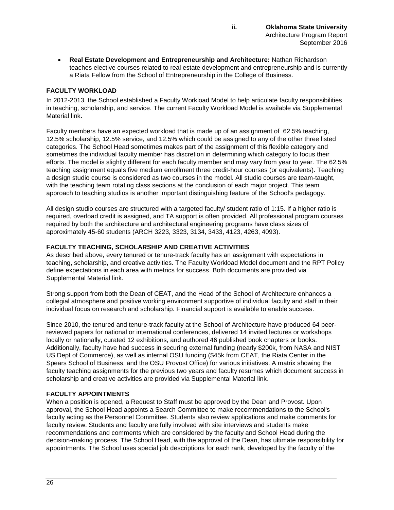• **Real Estate Development and Entrepreneurship and Architecture:** Nathan Richardson teaches elective courses related to real estate development and entrepreneurship and is currently a Riata Fellow from the School of Entrepreneurship in the College of Business.

# **FACULTY WORKLOAD**

In 2012-2013, the School established a Faculty Workload Model to help articulate faculty responsibilities in teaching, scholarship, and service. The current Faculty Workload Model is available via Supplemental Material link.

Faculty members have an expected workload that is made up of an assignment of 62.5% teaching, 12.5% scholarship, 12.5% service, and 12.5% which could be assigned to any of the other three listed categories. The School Head sometimes makes part of the assignment of this flexible category and sometimes the individual faculty member has discretion in determining which category to focus their efforts. The model is slightly different for each faculty member and may vary from year to year. The 62.5% teaching assignment equals five medium enrollment three credit-hour courses (or equivalents). Teaching a design studio course is considered as two courses in the model. All studio courses are team-taught, with the teaching team rotating class sections at the conclusion of each major project. This team approach to teaching studios is another important distinguishing feature of the School's pedagogy.

All design studio courses are structured with a targeted faculty/ student ratio of 1:15. If a higher ratio is required, overload credit is assigned, and TA support is often provided. All professional program courses required by both the architecture and architectural engineering programs have class sizes of approximately 45-60 students (ARCH 3223, 3323, 3134, 3433, 4123, 4263, 4093).

### **FACULTY TEACHING, SCHOLARSHIP AND CREATIVE ACTIVITIES**

As described above, every tenured or tenure-track faculty has an assignment with expectations in teaching, scholarship, and creative activities. The Faculty Workload Model document and the RPT Policy define expectations in each area with metrics for success. Both documents are provided via Supplemental Material link.

Strong support from both the Dean of CEAT, and the Head of the School of Architecture enhances a collegial atmosphere and positive working environment supportive of individual faculty and staff in their individual focus on research and scholarship. Financial support is available to enable success.

Since 2010, the tenured and tenure-track faculty at the School of Architecture have produced 64 peerreviewed papers for national or international conferences, delivered 14 invited lectures or workshops locally or nationally, curated 12 exhibitions, and authored 46 published book chapters or books. Additionally, faculty have had success in securing external funding (nearly \$200k, from NASA and NIST US Dept of Commerce), as well as internal OSU funding (\$45k from CEAT, the Riata Center in the Spears School of Business, and the OSU Provost Office) for various initiatives. A matrix showing the faculty teaching assignments for the previous two years and faculty resumes which document success in scholarship and creative activities are provided via Supplemental Material link.

# **FACULTY APPOINTMENTS**

When a position is opened, a Request to Staff must be approved by the Dean and Provost. Upon approval, the School Head appoints a Search Committee to make recommendations to the School's faculty acting as the Personnel Committee. Students also review applications and make comments for faculty review. Students and faculty are fully involved with site interviews and students make recommendations and comments which are considered by the faculty and School Head during the decision-making process. The School Head, with the approval of the Dean, has ultimate responsibility for appointments. The School uses special job descriptions for each rank, developed by the faculty of the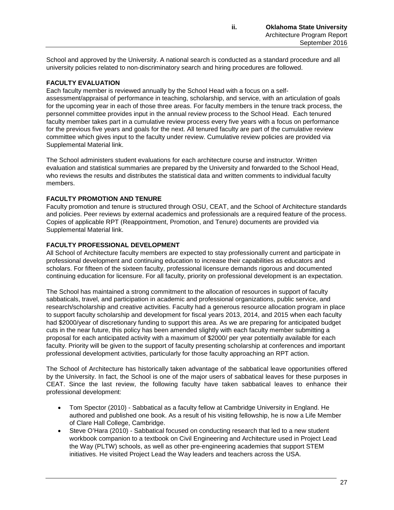School and approved by the University. A national search is conducted as a standard procedure and all university policies related to non-discriminatory search and hiring procedures are followed.

# **FACULTY EVALUATION**

Each faculty member is reviewed annually by the School Head with a focus on a selfassessment/appraisal of performance in teaching, scholarship, and service, with an articulation of goals for the upcoming year in each of those three areas. For faculty members in the tenure track process, the personnel committee provides input in the annual review process to the School Head. Each tenured faculty member takes part in a cumulative review process every five years with a focus on performance for the previous five years and goals for the next. All tenured faculty are part of the cumulative review committee which gives input to the faculty under review. Cumulative review policies are provided via Supplemental Material link.

The School administers student evaluations for each architecture course and instructor. Written evaluation and statistical summaries are prepared by the University and forwarded to the School Head, who reviews the results and distributes the statistical data and written comments to individual faculty members.

# **FACULTY PROMOTION AND TENURE**

Faculty promotion and tenure is structured through OSU, CEAT, and the School of Architecture standards and policies. Peer reviews by external academics and professionals are a required feature of the process. Copies of applicable RPT (Reappointment, Promotion, and Tenure) documents are provided via Supplemental Material link.

# **FACULTY PROFESSIONAL DEVELOPMENT**

All School of Architecture faculty members are expected to stay professionally current and participate in professional development and continuing education to increase their capabilities as educators and scholars. For fifteen of the sixteen faculty, professional licensure demands rigorous and documented continuing education for licensure. For all faculty, priority on professional development is an expectation.

The School has maintained a strong commitment to the allocation of resources in support of faculty sabbaticals, travel, and participation in academic and professional organizations, public service, and research/scholarship and creative activities. Faculty had a generous resource allocation program in place to support faculty scholarship and development for fiscal years 2013, 2014, and 2015 when each faculty had \$2000/year of discretionary funding to support this area. As we are preparing for anticipated budget cuts in the near future, this policy has been amended slightly with each faculty member submitting a proposal for each anticipated activity with a maximum of \$2000/ per year potentially available for each faculty. Priority will be given to the support of faculty presenting scholarship at conferences and important professional development activities, particularly for those faculty approaching an RPT action.

The School of Architecture has historically taken advantage of the sabbatical leave opportunities offered by the University. In fact, the School is one of the major users of sabbatical leaves for these purposes in CEAT. Since the last review, the following faculty have taken sabbatical leaves to enhance their professional development:

- Tom Spector (2010) Sabbatical as a faculty fellow at Cambridge University in England. He authored and published one book. As a result of his visiting fellowship, he is now a Life Member of Clare Hall College, Cambridge.
- Steve O'Hara (2010) Sabbatical focused on conducting research that led to a new student workbook companion to a textbook on Civil Engineering and Architecture used in Project Lead the Way (PLTW) schools, as well as other pre-engineering academies that support STEM initiatives. He visited Project Lead the Way leaders and teachers across the USA.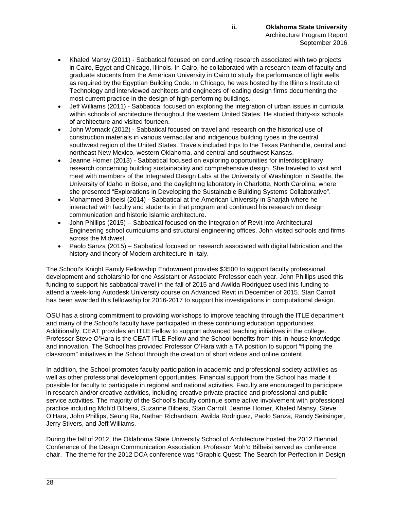- Khaled Mansy (2011) Sabbatical focused on conducting research associated with two projects in Cairo, Egypt and Chicago, Illinois. In Cairo, he collaborated with a research team of faculty and graduate students from the American University in Cairo to study the performance of light wells as required by the Egyptian Building Code. In Chicago, he was hosted by the Illinois Institute of Technology and interviewed architects and engineers of leading design firms documenting the most current practice in the design of high-performing buildings.
- Jeff Williams (2011) Sabbatical focused on exploring the integration of urban issues in curricula within schools of architecture throughout the western United States. He studied thirty-six schools of architecture and visited fourteen.
- John Womack (2012) Sabbatical focused on travel and research on the historical use of construction materials in various vernacular and indigenous building types in the central southwest region of the United States. Travels included trips to the Texas Panhandle, central and northeast New Mexico, western Oklahoma, and central and southwest Kansas.
- Jeanne Homer (2013) Sabbatical focused on exploring opportunities for interdisciplinary research concerning building sustainability and comprehensive design. She traveled to visit and meet with members of the Integrated Design Labs at the University of Washington in Seattle, the University of Idaho in Boise, and the daylighting laboratory in Charlotte, North Carolina, where she presented "Explorations in Developing the Sustainable Building Systems Collaborative".
- Mohammed Bilbeisi (2014) Sabbatical at the American University in Sharjah where he interacted with faculty and students in that program and continued his research on design communication and historic Islamic architecture.
- John Phillips (2015) Sabbatical focused on the integration of Revit into Architectural Engineering school curriculums and structural engineering offices. John visited schools and firms across the Midwest.
- Paolo Sanza (2015) Sabbatical focused on research associated with digital fabrication and the history and theory of Modern architecture in Italy.

The School's Knight Family Fellowship Endowment provides \$3500 to support faculty professional development and scholarship for one Assistant or Associate Professor each year. John Phillips used this funding to support his sabbatical travel in the fall of 2015 and Awilda Rodriguez used this funding to attend a week-long Autodesk University course on Advanced Revit in December of 2015. Stan Carroll has been awarded this fellowship for 2016-2017 to support his investigations in computational design.

OSU has a strong commitment to providing workshops to improve teaching through the ITLE department and many of the School's faculty have participated in these continuing education opportunities. Additionally, CEAT provides an ITLE Fellow to support advanced teaching initiatives in the college. Professor Steve O'Hara is the CEAT ITLE Fellow and the School benefits from this in-house knowledge and innovation. The School has provided Professor O'Hara with a TA position to support "flipping the classroom" initiatives in the School through the creation of short videos and online content.

In addition, the School promotes faculty participation in academic and professional society activities as well as other professional development opportunities. Financial support from the School has made it possible for faculty to participate in regional and national activities. Faculty are encouraged to participate in research and/or creative activities, including creative private practice and professional and public service activities. The majority of the School's faculty continue some active involvement with professional practice including Moh'd Bilbeisi, Suzanne Bilbeisi, Stan Carroll, Jeanne Homer, Khaled Mansy, Steve O'Hara, John Phillips, Seung Ra, Nathan Richardson, Awilda Rodriguez, Paolo Sanza, Randy Seitsinger, Jerry Stivers, and Jeff Williams.

During the fall of 2012, the Oklahoma State University School of Architecture hosted the 2012 Biennial Conference of the Design Communication Association. Professor Moh'd Bilbeisi served as conference chair. The theme for the 2012 DCA conference was "Graphic Quest: The Search for Perfection in Design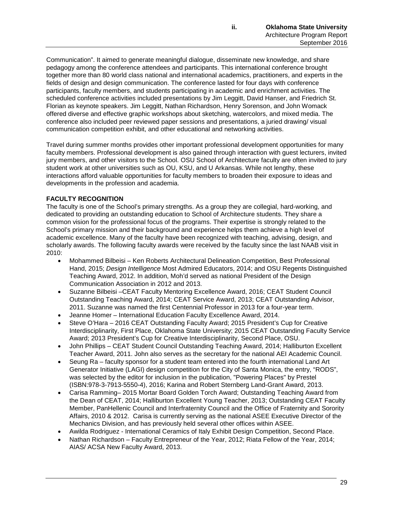Communication". It aimed to generate meaningful dialogue, disseminate new knowledge, and share pedagogy among the conference attendees and participants. This international conference brought together more than 80 world class national and international academics, practitioners, and experts in the fields of design and design communication. The conference lasted for four days with conference participants, faculty members, and students participating in academic and enrichment activities. The scheduled conference activities included presentations by Jim Leggitt, David Hanser, and Friedrich St. Florian as keynote speakers. Jim Leggitt, Nathan Richardson, Henry Sorenson, and John Womack offered diverse and effective graphic workshops about sketching, watercolors, and mixed media. The conference also included peer reviewed paper sessions and presentations, a juried drawing/ visual communication competition exhibit, and other educational and networking activities.

Travel during summer months provides other important professional development opportunities for many faculty members. Professional development is also gained through interaction with guest lecturers, invited jury members, and other visitors to the School. OSU School of Architecture faculty are often invited to jury student work at other universities such as OU, KSU, and U Arkansas. While not lengthy, these interactions afford valuable opportunities for faculty members to broaden their exposure to ideas and developments in the profession and academia.

# **FACULTY RECOGNITION**

The faculty is one of the School's primary strengths. As a group they are collegial, hard-working, and dedicated to providing an outstanding education to School of Architecture students. They share a common vision for the professional focus of the programs. Their expertise is strongly related to the School's primary mission and their background and experience helps them achieve a high level of academic excellence. Many of the faculty have been recognized with teaching, advising, design, and scholarly awards. The following faculty awards were received by the faculty since the last NAAB visit in 2010:

- Mohammed Bilbeisi Ken Roberts Architectural Delineation Competition, Best Professional Hand, 2015; *Design Intelligence* Most Admired Educators, 2014; and OSU Regents Distinguished Teaching Award, 2012. In addition, Moh'd served as national President of the Design Communication Association in 2012 and 2013.
- Suzanne Bilbeisi –CEAT Faculty Mentoring Excellence Award, 2016; CEAT Student Council Outstanding Teaching Award, 2014; CEAT Service Award, 2013; CEAT Outstanding Advisor, 2011. Suzanne was named the first Centennial Professor in 2013 for a four-year term.
- Jeanne Homer International Education Faculty Excellence Award, 2014.
- Steve O'Hara 2016 CEAT Outstanding Faculty Award; 2015 President's Cup for Creative Interdisciplinarity, First Place, Oklahoma State University; 2015 CEAT Outstanding Faculty Service Award; 2013 President's Cup for Creative Interdisciplinarity, Second Place, OSU.
- John Phillips CEAT Student Council Outstanding Teaching Award, 2014; Halliburton Excellent Teacher Award, 2011. John also serves as the secretary for the national AEI Academic Council.
- Seung Ra faculty sponsor for a student team entered into the fourth international Land Art Generator Initiative (LAGI) design competition for the City of Santa Monica, the entry, "RODS", was selected by the editor for inclusion in the publication, "Powering Places" by Prestel (ISBN:978-3-7913-5550-4), 2016; Karina and Robert Sternberg Land-Grant Award, 2013.
- Carisa Ramming– 2015 Mortar Board Golden Torch Award; Outstanding Teaching Award from the Dean of CEAT, 2014; Halliburton Excellent Young Teacher, 2013; Outstanding CEAT Faculty Member, PanHellenic Council and Interfraternity Council and the Office of Fraternity and Sorority Affairs, 2010 & 2012. Carisa is currently serving as the national ASEE Executive Director of the Mechanics Division, and has previously held several other offices within ASEE.
- Awilda Rodriguez International Ceramics of Italy Exhibit Design Competition, Second Place.
- Nathan Richardson Faculty Entrepreneur of the Year, 2012; Riata Fellow of the Year, 2014; AIAS/ ACSA New Faculty Award, 2013.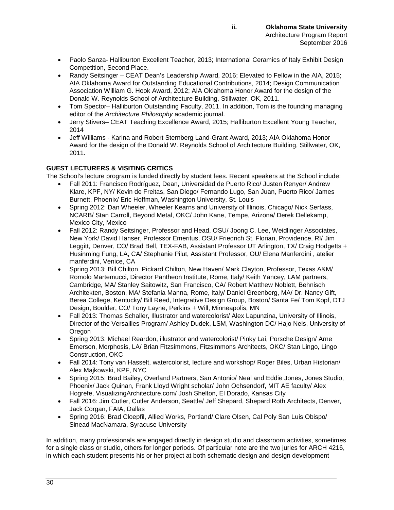- Paolo Sanza- Halliburton Excellent Teacher, 2013; International Ceramics of Italy Exhibit Design Competition, Second Place.
- Randy Seitsinger CEAT Dean's Leadership Award, 2016; Elevated to Fellow in the AIA, 2015; AIA Oklahoma Award for Outstanding Educational Contributions, 2014; Design Communication Association William G. Hook Award, 2012; AIA Oklahoma Honor Award for the design of the Donald W. Reynolds School of Architecture Building, Stillwater, OK, 2011.
- Tom Spector– Halliburton Outstanding Faculty, 2011. In addition, Tom is the founding managing editor of the *Architecture Philosophy* academic journal.
- Jerry Stivers– CEAT Teaching Excellence Award, 2015; Halliburton Excellent Young Teacher, 2014
- Jeff Williams Karina and Robert Sternberg Land-Grant Award, 2013; AIA Oklahoma Honor Award for the design of the Donald W. Reynolds School of Architecture Building, Stillwater, OK, 2011.

# **GUEST LECTURERS & VISITING CRITICS**

The School's lecture program is funded directly by student fees. Recent speakers at the School include:

- Fall 2011: Francisco Rodríguez, Dean, Universidad de Puerto Rico/ Justen Renyer/ Andrew Klare, KPF, NY/ Kevin de Freitas, San Diego/ Fernando Lugo, San Juan, Puerto Rico/ James Burnett, Phoenix/ Eric Hoffman, Washington University, St. Louis
- Spring 2012: Dan Wheeler, Wheeler Kearns and University of Illinois, Chicago/ Nick Serfass, NCARB/ Stan Carroll, Beyond Metal, OKC/ John Kane, Tempe, Arizona/ Derek Dellekamp, Mexico City, Mexico
- Fall 2012: Randy Seitsinger, Professor and Head, OSU/ Joong C. Lee, Weidlinger Associates, New York/ David Hanser, Professor Emeritus, OSU/ Friedrich St. Florian, Providence, RI/ Jim Leggitt, Denver, CO/ Brad Bell, TEX-FAB, Assistant Professor UT Arlington, TX/ Craig Hodgetts + Husinming Fung, LA, CA/ Stephanie Pilut, Assistant Professor, OU/ Elena Manferdini , atelier manferdini, Venice, CA
- Spring 2013: Bill Chilton, Pickard Chilton, New Haven/ Mark Clayton, Professor, Texas A&M/ Romolo Martemucci, Director Pantheon Institute, Rome, Italy/ Keith Yancey, LAM partners, Cambridge, MA/ Stanley Saitowitz, San Francisco, CA/ Robert Matthew Noblett, Behnisch Architekten, Boston, MA/ Stefania Manna, Rome, Italy/ Daniel Greenberg, MA/ Dr. Nancy Gift, Berea College, Kentucky/ Bill Reed, Integrative Design Group, Boston/ Santa Fe/ Tom Kopf, DTJ Design, Boulder, CO/ Tony Layne, Perkins + Will, Minneapolis, MN
- Fall 2013: Thomas Schaller, Illustrator and watercolorist/ Alex Lapunzina, University of Illinois, Director of the Versailles Program/ Ashley Dudek, LSM, Washington DC/ Hajo Neis, University of Oregon
- Spring 2013: Michael Reardon, illustrator and watercolorist/ Pinky Lai, Porsche Design/ Arne Emerson, Morphosis, LA/ Brian Fitzsimmons, Fitzsimmons Architects, OKC/ Stan Lingo, Lingo Construction, OKC
- Fall 2014: Tony van Hasselt, watercolorist, lecture and workshop/ Roger Biles, Urban Historian/ Alex Majkowski, KPF, NYC
- Spring 2015: Brad Bailey, Overland Partners, San Antonio/ Neal and Eddie Jones, Jones Studio, Phoenix/ Jack Quinan, Frank Lloyd Wright scholar/ John Ochsendorf, MIT AE faculty/ Alex Hogrefe, VisualizingArchitecture.com/ Josh Shelton, El Dorado, Kansas City
- Fall 2016: Jim Cutler, Cutler Anderson, Seattle/ Jeff Shepard, Shepard Roth Architects, Denver, Jack Corgan, FAIA, Dallas
- Spring 2016: Brad Cloepfil, Allied Works, Portland/ Clare Olsen, Cal Poly San Luis Obispo/ Sinead MacNamara, Syracuse University

In addition, many professionals are engaged directly in design studio and classroom activities, sometimes for a single class or studio, others for longer periods. Of particular note are the two juries for ARCH 4216, in which each student presents his or her project at both schematic design and design development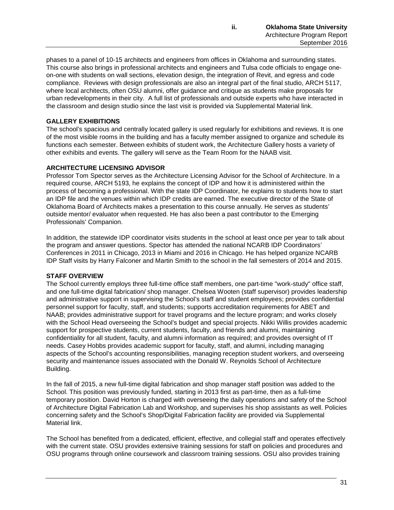phases to a panel of 10-15 architects and engineers from offices in Oklahoma and surrounding states. This course also brings in professional architects and engineers and Tulsa code officials to engage oneon-one with students on wall sections, elevation design, the integration of Revit, and egress and code compliance. Reviews with design professionals are also an integral part of the final studio, ARCH 5117, where local architects, often OSU alumni, offer guidance and critique as students make proposals for urban redevelopments in their city. A full list of professionals and outside experts who have interacted in the classroom and design studio since the last visit is provided via Supplemental Material link.

# **GALLERY EXHIBITIONS**

The school's spacious and centrally located gallery is used regularly for exhibitions and reviews. It is one of the most visible rooms in the building and has a faculty member assigned to organize and schedule its functions each semester. Between exhibits of student work, the Architecture Gallery hosts a variety of other exhibits and events. The gallery will serve as the Team Room for the NAAB visit.

# **ARCHITECTURE LICENSING ADVISOR**

Professor Tom Spector serves as the Architecture Licensing Advisor for the School of Architecture. In a required course, ARCH 5193, he explains the concept of IDP and how it is administered within the process of becoming a professional. With the state IDP Coordinator, he explains to students how to start an IDP file and the venues within which IDP credits are earned. The executive director of the State of Oklahoma Board of Architects makes a presentation to this course annually. He serves as students' outside mentor/ evaluator when requested. He has also been a past contributor to the Emerging Professionals' Companion.

In addition, the statewide IDP coordinator visits students in the school at least once per year to talk about the program and answer questions. Spector has attended the national NCARB IDP Coordinators' Conferences in 2011 in Chicago, 2013 in Miami and 2016 in Chicago. He has helped organize NCARB IDP Staff visits by Harry Falconer and Martin Smith to the school in the fall semesters of 2014 and 2015.

# **STAFF OVERVIEW**

The School currently employs three full-time office staff members, one part-time "work-study" office staff, and one full-time digital fabrication/ shop manager. Chelsea Wooten (staff supervisor) provides leadership and administrative support in supervising the School's staff and student employees; provides confidential personnel support for faculty, staff, and students; supports accreditation requirements for ABET and NAAB; provides administrative support for travel programs and the lecture program; and works closely with the School Head overseeing the School's budget and special projects. Nikki Willis provides academic support for prospective students, current students, faculty, and friends and alumni, maintaining confidentiality for all student, faculty, and alumni information as required; and provides oversight of IT needs. Casey Hobbs provides academic support for faculty, staff, and alumni, including managing aspects of the School's accounting responsibilities, managing reception student workers, and overseeing security and maintenance issues associated with the Donald W. Reynolds School of Architecture Building.

In the fall of 2015, a new full-time digital fabrication and shop manager staff position was added to the School. This position was previously funded, starting in 2013 first as part-time, then as a full-time temporary position. David Horton is charged with overseeing the daily operations and safety of the School of Architecture Digital Fabrication Lab and Workshop, and supervises his shop assistants as well. Policies concerning safety and the School's Shop/Digital Fabrication facility are provided via Supplemental Material link.

The School has benefited from a dedicated, efficient, effective, and collegial staff and operates effectively with the current state. OSU provides extensive training sessions for staff on policies and procedures and OSU programs through online coursework and classroom training sessions. OSU also provides training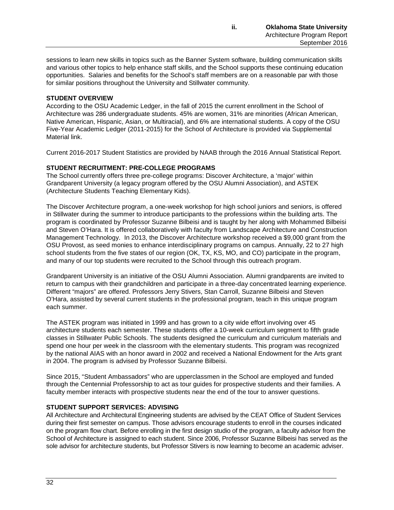sessions to learn new skills in topics such as the Banner System software, building communication skills and various other topics to help enhance staff skills, and the School supports these continuing education opportunities. Salaries and benefits for the School's staff members are on a reasonable par with those for similar positions throughout the University and Stillwater community.

### **STUDENT OVERVIEW**

According to the OSU Academic Ledger, in the fall of 2015 the current enrollment in the School of Architecture was 286 undergraduate students. 45% are women, 31% are minorities (African American, Native American, Hispanic, Asian, or Multiracial), and 6% are international students. A copy of the OSU Five-Year Academic Ledger (2011-2015) for the School of Architecture is provided via Supplemental Material link.

Current 2016-2017 Student Statistics are provided by NAAB through the 2016 Annual Statistical Report.

# **STUDENT RECRUITMENT: PRE-COLLEGE PROGRAMS**

The School currently offers three pre-college programs: Discover Architecture, a 'major' within Grandparent University (a legacy program offered by the OSU Alumni Association), and ASTEK (Architecture Students Teaching Elementary Kids).

The Discover Architecture program, a one-week workshop for high school juniors and seniors, is offered in Stillwater during the summer to introduce participants to the professions within the building arts. The program is coordinated by Professor Suzanne Bilbeisi and is taught by her along with Mohammed Bilbeisi and Steven O'Hara. It is offered collaboratively with faculty from Landscape Architecture and Construction Management Technology. In 2013, the Discover Architecture workshop received a \$9,000 grant from the OSU Provost, as seed monies to enhance interdisciplinary programs on campus. Annually, 22 to 27 high school students from the five states of our region (OK, TX, KS, MO, and CO) participate in the program, and many of our top students were recruited to the School through this outreach program.

Grandparent University is an initiative of the OSU Alumni Association. Alumni grandparents are invited to return to campus with their grandchildren and participate in a three-day concentrated learning experience. Different "majors" are offered. Professors Jerry Stivers, Stan Carroll, Suzanne Bilbeisi and Steven O'Hara, assisted by several current students in the professional program, teach in this unique program each summer.

The ASTEK program was initiated in 1999 and has grown to a city wide effort involving over 45 architecture students each semester. These students offer a 10-week curriculum segment to fifth grade classes in Stillwater Public Schools. The students designed the curriculum and curriculum materials and spend one hour per week in the classroom with the elementary students. This program was recognized by the national AIAS with an honor award in 2002 and received a National Endowment for the Arts grant in 2004. The program is advised by Professor Suzanne Bilbeisi.

Since 2015, "Student Ambassadors" who are upperclassmen in the School are employed and funded through the Centennial Professorship to act as tour guides for prospective students and their families. A faculty member interacts with prospective students near the end of the tour to answer questions.

# **STUDENT SUPPORT SERVICES: ADVISING**

All Architecture and Architectural Engineering students are advised by the CEAT Office of Student Services during their first semester on campus. Those advisors encourage students to enroll in the courses indicated on the program flow chart. Before enrolling in the first design studio of the program, a faculty advisor from the School of Architecture is assigned to each student. Since 2006, Professor Suzanne Bilbeisi has served as the sole advisor for architecture students, but Professor Stivers is now learning to become an academic adviser.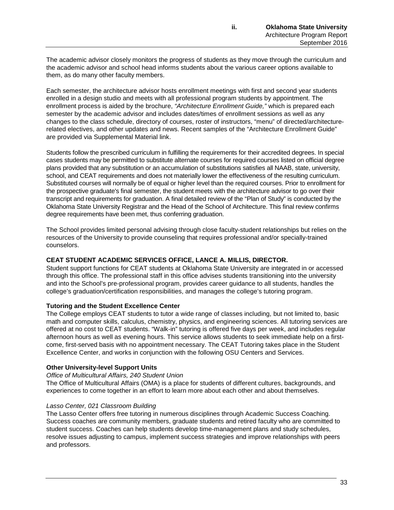The academic advisor closely monitors the progress of students as they move through the curriculum and the academic advisor and school head informs students about the various career options available to them, as do many other faculty members.

Each semester, the architecture advisor hosts enrollment meetings with first and second year students enrolled in a design studio and meets with all professional program students by appointment. The enrollment process is aided by the brochure, *"Architecture Enrollment Guide,"* which is prepared each semester by the academic advisor and includes dates/times of enrollment sessions as well as any changes to the class schedule, directory of courses, roster of instructors, "menu" of directed/architecturerelated electives, and other updates and news. Recent samples of the "Architecture Enrollment Guide" are provided via Supplemental Material link.

Students follow the prescribed curriculum in fulfilling the requirements for their accredited degrees. In special cases students may be permitted to substitute alternate courses for required courses listed on official degree plans provided that any substitution or an accumulation of substitutions satisfies all NAAB, state, university, school, and CEAT requirements and does not materially lower the effectiveness of the resulting curriculum. Substituted courses will normally be of equal or higher level than the required courses. Prior to enrollment for the prospective graduate's final semester, the student meets with the architecture advisor to go over their transcript and requirements for graduation. A final detailed review of the "Plan of Study" is conducted by the Oklahoma State University Registrar and the Head of the School of Architecture. This final review confirms degree requirements have been met, thus conferring graduation.

The School provides limited personal advising through close faculty-student relationships but relies on the resources of the University to provide counseling that requires professional and/or specially-trained counselors.

# **CEAT STUDENT ACADEMIC SERVICES OFFICE, LANCE A. MILLIS, DIRECTOR.**

Student support functions for CEAT students at Oklahoma State University are integrated in or accessed through this office. The professional staff in this office advises students transitioning into the university and into the School's pre-professional program, provides career guidance to all students, handles the college's graduation/certification responsibilities, and manages the college's tutoring program.

### **Tutoring and the Student Excellence Center**

The College employs CEAT students to tutor a wide range of classes including, but not limited to, basic math and computer skills, calculus, chemistry, physics, and engineering sciences. All tutoring services are offered at no cost to CEAT students. "Walk-in" tutoring is offered five days per week, and includes regular afternoon hours as well as evening hours. This service allows students to seek immediate help on a firstcome, first-served basis with no appointment necessary. The CEAT Tutoring takes place in the Student Excellence Center, and works in conjunction with the following OSU Centers and Services.

### **Other University-level Support Units**

### *Office of Multicultural Affairs, 240 Student Union*

The Office of Multicultural Affairs (OMA) is a place for students of different cultures, backgrounds, and experiences to come together in an effort to learn more about each other and about themselves.

### *Lasso Center, 021 Classroom Building*

The Lasso Center offers free tutoring in numerous disciplines through Academic Success Coaching. Success coaches are community members, graduate students and retired faculty who are committed to student success. Coaches can help students develop time-management plans and study schedules, resolve issues adjusting to campus, implement success strategies and improve relationships with peers and professors.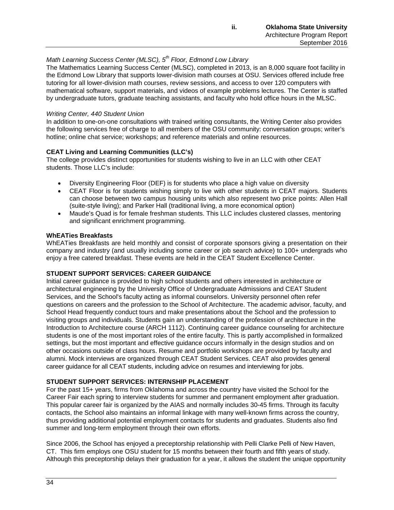# *Math Learning Success Center (MLSC), 5th Floor, Edmond Low Library*

The Mathematics Learning Success Center (MLSC), completed in 2013, is an 8,000 square foot facility in the Edmond Low Library that supports lower-division math courses at OSU. Services offered include free tutoring for all lower-division math courses, review sessions, and access to over 120 computers with mathematical software, support materials, and videos of example problems lectures. The Center is staffed by undergraduate tutors, graduate teaching assistants, and faculty who hold office hours in the MLSC.

### *Writing Center, 440 Student Union*

In addition to one-on-one consultations with trained writing consultants, the Writing Center also provides the following services free of charge to all members of the OSU community: conversation groups; writer's hotline; online chat service; workshops; and reference materials and online resources.

# **CEAT Living and Learning Communities (LLC's)**

The college provides distinct opportunities for students wishing to live in an LLC with other CEAT students. Those LLC's include:

- Diversity Engineering Floor (DEF) is for students who place a high value on diversity
- CEAT Floor is for students wishing simply to live with other students in CEAT majors. Students can choose between two campus housing units which also represent two price points: Allen Hall (suite-style living); and Parker Hall (traditional living, a more economical option)
- Maude's Quad is for female freshman students. This LLC includes clustered classes, mentoring and significant enrichment programming.

#### **WhEATies Breakfasts**

WhEATies Breakfasts are held monthly and consist of corporate sponsors giving a presentation on their company and industry (and usually including some career or job search advice) to 100+ undergrads who enjoy a free catered breakfast. These events are held in the CEAT Student Excellence Center.

### **STUDENT SUPPORT SERVICES: CAREER GUIDANCE**

Initial career guidance is provided to high school students and others interested in architecture or architectural engineering by the University Office of Undergraduate Admissions and CEAT Student Services, and the School's faculty acting as informal counselors. University personnel often refer questions on careers and the profession to the School of Architecture. The academic advisor, faculty, and School Head frequently conduct tours and make presentations about the School and the profession to visiting groups and individuals. Students gain an understanding of the profession of architecture in the Introduction to Architecture course (ARCH 1112). Continuing career guidance counseling for architecture students is one of the most important roles of the entire faculty. This is partly accomplished in formalized settings, but the most important and effective guidance occurs informally in the design studios and on other occasions outside of class hours. Resume and portfolio workshops are provided by faculty and alumni. Mock interviews are organized through CEAT Student Services. CEAT also provides general career guidance for all CEAT students, including advice on resumes and interviewing for jobs.

### **STUDENT SUPPORT SERVICES: INTERNSHIP PLACEMENT**

For the past 15+ years, firms from Oklahoma and across the country have visited the School for the Career Fair each spring to interview students for summer and permanent employment after graduation. This popular career fair is organized by the AIAS and normally includes 30-45 firms. Through its faculty contacts, the School also maintains an informal linkage with many well-known firms across the country, thus providing additional potential employment contacts for students and graduates. Students also find summer and long-term employment through their own efforts.

Since 2006, the School has enjoyed a preceptorship relationship with Pelli Clarke Pelli of New Haven, CT. This firm employs one OSU student for 15 months between their fourth and fifth years of study. Although this preceptorship delays their graduation for a year, it allows the student the unique opportunity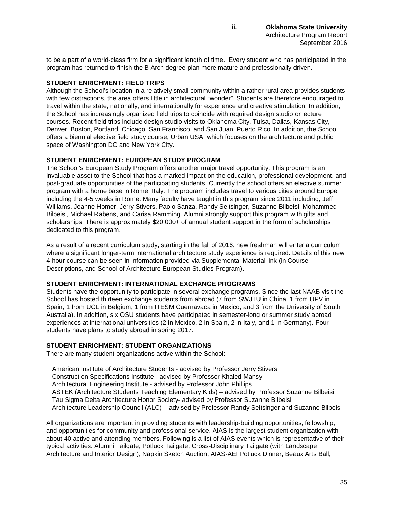to be a part of a world-class firm for a significant length of time. Every student who has participated in the program has returned to finish the B Arch degree plan more mature and professionally driven.

# **STUDENT ENRICHMENT: FIELD TRIPS**

Although the School's location in a relatively small community within a rather rural area provides students with few distractions, the area offers little in architectural "wonder". Students are therefore encouraged to travel within the state, nationally, and internationally for experience and creative stimulation. In addition, the School has increasingly organized field trips to coincide with required design studio or lecture courses. Recent field trips include design studio visits to Oklahoma City, Tulsa, Dallas, Kansas City, Denver, Boston, Portland, Chicago, San Francisco, and San Juan, Puerto Rico. In addition, the School offers a biennial elective field study course, Urban USA, which focuses on the architecture and public space of Washington DC and New York City.

# **STUDENT ENRICHMENT: EUROPEAN STUDY PROGRAM**

The School's European Study Program offers another major travel opportunity. This program is an invaluable asset to the School that has a marked impact on the education, professional development, and post-graduate opportunities of the participating students. Currently the school offers an elective summer program with a home base in Rome, Italy. The program includes travel to various cities around Europe including the 4-5 weeks in Rome. Many faculty have taught in this program since 2011 including, Jeff Williams, Jeanne Homer, Jerry Stivers, Paolo Sanza, Randy Seitsinger, Suzanne Bilbeisi, Mohammed Bilbeisi, Michael Rabens, and Carisa Ramming. Alumni strongly support this program with gifts and scholarships. There is approximately \$20,000+ of annual student support in the form of scholarships dedicated to this program.

As a result of a recent curriculum study, starting in the fall of 2016, new freshman will enter a curriculum where a significant longer-term international architecture study experience is required. Details of this new 4-hour course can be seen in information provided via Supplemental Material link (in Course Descriptions, and School of Architecture European Studies Program).

### **STUDENT ENRICHMENT: INTERNATIONAL EXCHANGE PROGRAMS**

Students have the opportunity to participate in several exchange programs. Since the last NAAB visit the School has hosted thirteen exchange students from abroad (7 from SWJTU in China, 1 from UPV in Spain, 1 from UCL in Belgium, 1 from ITESM Cuernavaca in Mexico, and 3 from the University of South Australia). In addition, six OSU students have participated in semester-long or summer study abroad experiences at international universities (2 in Mexico, 2 in Spain, 2 in Italy, and 1 in Germany). Four students have plans to study abroad in spring 2017.

### **STUDENT ENRICHMENT: STUDENT ORGANIZATIONS**

There are many student organizations active within the School:

American Institute of Architecture Students - advised by Professor Jerry Stivers Construction Specifications Institute - advised by Professor Khaled Mansy Architectural Engineering Institute - advised by Professor John Phillips ASTEK (Architecture Students Teaching Elementary Kids) – advised by Professor Suzanne Bilbeisi Tau Sigma Delta Architecture Honor Society- advised by Professor Suzanne Bilbeisi Architecture Leadership Council (ALC) – advised by Professor Randy Seitsinger and Suzanne Bilbeisi

All organizations are important in providing students with leadership-building opportunities, fellowship, and opportunities for community and professional service. AIAS is the largest student organization with about 40 active and attending members. Following is a list of AIAS events which is representative of their typical activities: Alumni Tailgate, Potluck Tailgate, Cross-Disciplinary Tailgate (with Landscape Architecture and Interior Design), Napkin Sketch Auction, AIAS-AEI Potluck Dinner, Beaux Arts Ball,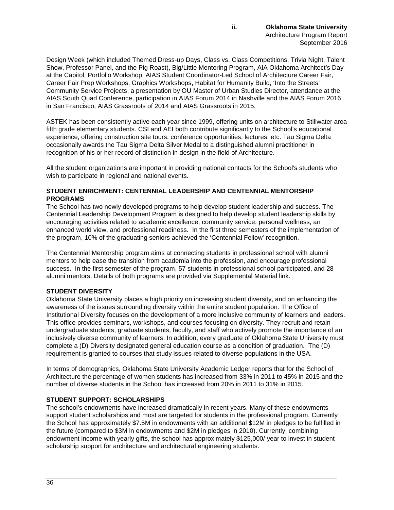Design Week (which included Themed Dress-up Days, Class vs. Class Competitions, Trivia Night, Talent Show, Professor Panel, and the Pig Roast), Big/Little Mentoring Program, AIA Oklahoma Architect's Day at the Capitol, Portfolio Workshop, AIAS Student Coordinator-Led School of Architecture Career Fair, Career Fair Prep Workshops, Graphics Workshops, Habitat for Humanity Build, 'Into the Streets' Community Service Projects, a presentation by OU Master of Urban Studies Director, attendance at the AIAS South Quad Conference, participation in AIAS Forum 2014 in Nashville and the AIAS Forum 2016 in San Francisco, AIAS Grassroots of 2014 and AIAS Grassroots in 2015.

ASTEK has been consistently active each year since 1999, offering units on architecture to Stillwater area fifth grade elementary students. CSI and AEI both contribute significantly to the School's educational experience, offering construction site tours, conference opportunities, lectures, etc. Tau Sigma Delta occasionally awards the Tau Sigma Delta Silver Medal to a distinguished alumni practitioner in recognition of his or her record of distinction in design in the field of Architecture.

All the student organizations are important in providing national contacts for the School's students who wish to participate in regional and national events.

### **STUDENT ENRICHMENT: CENTENNIAL LEADERSHIP AND CENTENNIAL MENTORSHIP PROGRAMS**

The School has two newly developed programs to help develop student leadership and success. The Centennial Leadership Development Program is designed to help develop student leadership skills by encouraging activities related to academic excellence, community service, personal wellness, an enhanced world view, and professional readiness. In the first three semesters of the implementation of the program, 10% of the graduating seniors achieved the 'Centennial Fellow' recognition.

The Centennial Mentorship program aims at connecting students in professional school with alumni mentors to help ease the transition from academia into the profession, and encourage professional success. In the first semester of the program, 57 students in professional school participated, and 28 alumni mentors. Details of both programs are provided via Supplemental Material link.

### **STUDENT DIVERSITY**

Oklahoma State University places a high priority on increasing student diversity, and on enhancing the awareness of the issues surrounding diversity within the entire student population. The Office of Institutional Diversity focuses on the development of a more inclusive community of learners and leaders. This office provides seminars, workshops, and courses focusing on diversity. They recruit and retain undergraduate students, graduate students, faculty, and staff who actively promote the importance of an inclusively diverse community of learners. In addition, every graduate of Oklahoma State University must complete a (D) Diversity designated general education course as a condition of graduation. The (D) requirement is granted to courses that study issues related to diverse populations in the USA.

In terms of demographics, Oklahoma State University Academic Ledger reports that for the School of Architecture the percentage of women students has increased from 33% in 2011 to 45% in 2015 and the number of diverse students in the School has increased from 20% in 2011 to 31% in 2015.

# **STUDENT SUPPORT: SCHOLARSHIPS**

The school's endowments have increased dramatically in recent years. Many of these endowments support student scholarships and most are targeted for students in the professional program. Currently the School has approximately \$7.5M in endowments with an additional \$12M in pledges to be fulfilled in the future (compared to \$3M in endowments and \$2M in pledges in 2010). Currently, combining endowment income with yearly gifts, the school has approximately \$125,000/ year to invest in student scholarship support for architecture and architectural engineering students.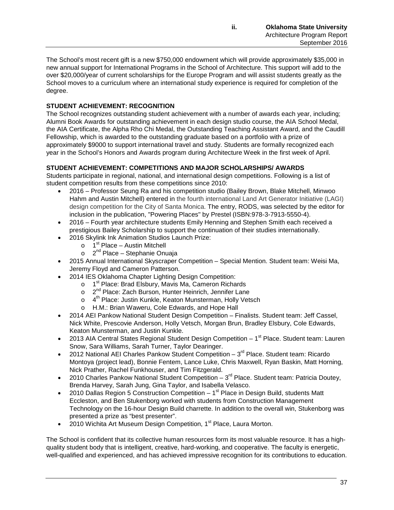The School's most recent gift is a new \$750,000 endowment which will provide approximately \$35,000 in new annual support for International Programs in the School of Architecture. This support will add to the over \$20,000/year of current scholarships for the Europe Program and will assist students greatly as the School moves to a curriculum where an international study experience is required for completion of the degree.

# **STUDENT ACHIEVEMENT: RECOGNITION**

The School recognizes outstanding student achievement with a number of awards each year, including; Alumni Book Awards for outstanding achievement in each design studio course, the AIA School Medal, the AIA Certificate, the Alpha Rho Chi Medal, the Outstanding Teaching Assistant Award, and the Caudill Fellowship, which is awarded to the outstanding graduate based on a portfolio with a prize of approximately \$9000 to support international travel and study. Students are formally recognized each year in the School's Honors and Awards program during Architecture Week in the first week of April.

# **STUDENT ACHIEVEMENT: COMPETITIONS AND MAJOR SCHOLARSHIPS/ AWARDS**

Students participate in regional, national, and international design competitions. Following is a list of student competition results from these competitions since 2010:

- 2016 Professor Seung Ra and his competition studio (Bailey Brown, Blake Mitchell, Minwoo Hahm and Austin Mitchell) entered in the fourth international Land Art Generator Initiative (LAGI) design competition for the City of Santa Monica. The entry, RODS, was selected by the editor for inclusion in the publication, "Powering Places" by Prestel (ISBN:978-3-7913-5550-4).
- 2016 Fourth year architecture students Emily Henning and Stephen Smith each received a prestigious Bailey Scholarship to support the continuation of their studies internationally.
- 2016 Skylink Ink Animation Studios Launch Prize:
	- $\circ$  1<sup>st</sup> Place Austin Mitchell
	- $\circ$  2<sup>nd</sup> Place Stephanie Onuaja
- 2015 Annual International Skyscraper Competition Special Mention. Student team: Weisi Ma, Jeremy Floyd and Cameron Patterson.
- 2014 IES Oklahoma Chapter Lighting Design Competition:
	- o 1<sup>st</sup> Place: Brad Elsbury, Mavis Ma, Cameron Richards
	- o 2<sup>nd</sup> Place: Zach Burson, Hunter Heinrich, Jennifer Lane
	- $\circ$  4<sup>th</sup> Place: Justin Kunkle, Keaton Munsterman, Holly Vetsch
	- o H.M.: Brian Waweru, Cole Edwards, and Hope Hall
- 2014 AEI Pankow National Student Design Competition Finalists. Student team: Jeff Cassel, Nick White, Prescovie Anderson, Holly Vetsch, Morgan Brun, Bradley Elsbury, Cole Edwards, Keaton Munsterman, and Justin Kunkle.
- 2013 AIA Central States Regional Student Design Competition  $-1<sup>st</sup>$  Place. Student team: Lauren Snow, Sara Williams, Sarah Turner, Taylor Dearinger.
- 2012 National AEI Charles Pankow Student Competition  $-3<sup>rd</sup>$  Place. Student team: Ricardo Montoya (project lead), Bonnie Fentem, Lance Luke, Chris Maxwell, Ryan Baskin, Matt Horning, Nick Prather, Rachel Funkhouser, and Tim Fitzgerald.
- 2010 Charles Pankow National Student Competition  $-3<sup>rd</sup>$  Place. Student team: Patricia Doutey, Brenda Harvey, Sarah Jung, Gina Taylor, and Isabella Velasco.
- 2010 Dallas Region 5 Construction Competition  $-1<sup>st</sup>$  Place in Design Build, students Matt Eccleston, and Ben Stukenborg worked with students from Construction Management Technology on the 16-hour Design Build charrette. In addition to the overall win, Stukenborg was presented a prize as "best presenter".
- 2010 Wichita Art Museum Design Competition, 1<sup>st</sup> Place, Laura Morton.

The School is confident that its collective human resources form its most valuable resource. It has a highquality student body that is intelligent, creative, hard-working, and cooperative. The faculty is energetic, well-qualified and experienced, and has achieved impressive recognition for its contributions to education.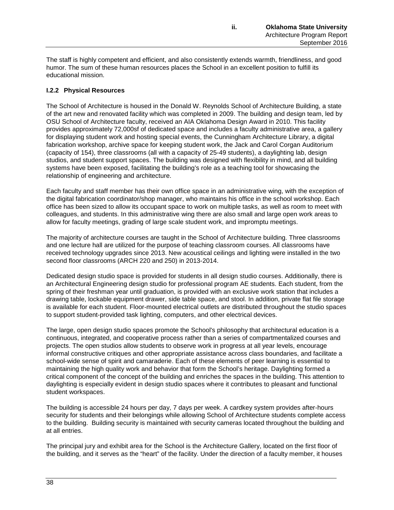The staff is highly competent and efficient, and also consistently extends warmth, friendliness, and good humor. The sum of these human resources places the School in an excellent position to fulfill its educational mission.

# **I.2.2 Physical Resources**

The School of Architecture is housed in the Donald W. Reynolds School of Architecture Building, a state of the art new and renovated facility which was completed in 2009. The building and design team, led by OSU School of Architecture faculty, received an AIA Oklahoma Design Award in 2010. This facility provides approximately 72,000sf of dedicated space and includes a faculty administrative area, a gallery for displaying student work and hosting special events, the Cunningham Architecture Library, a digital fabrication workshop, archive space for keeping student work, the Jack and Carol Corgan Auditorium (capacity of 154), three classrooms (all with a capacity of 25-49 students), a daylighting lab, design studios, and student support spaces. The building was designed with flexibility in mind, and all building systems have been exposed, facilitating the building's role as a teaching tool for showcasing the relationship of engineering and architecture.

Each faculty and staff member has their own office space in an administrative wing, with the exception of the digital fabrication coordinator/shop manager, who maintains his office in the school workshop. Each office has been sized to allow its occupant space to work on multiple tasks, as well as room to meet with colleagues, and students. In this administrative wing there are also small and large open work areas to allow for faculty meetings, grading of large scale student work, and impromptu meetings.

The majority of architecture courses are taught in the School of Architecture building. Three classrooms and one lecture hall are utilized for the purpose of teaching classroom courses. All classrooms have received technology upgrades since 2013. New acoustical ceilings and lighting were installed in the two second floor classrooms (ARCH 220 and 250) in 2013-2014.

Dedicated design studio space is provided for students in all design studio courses. Additionally, there is an Architectural Engineering design studio for professional program AE students. Each student, from the spring of their freshman year until graduation, is provided with an exclusive work station that includes a drawing table, lockable equipment drawer, side table space, and stool. In addition, private flat file storage is available for each student. Floor-mounted electrical outlets are distributed throughout the studio spaces to support student-provided task lighting, computers, and other electrical devices.

The large, open design studio spaces promote the School's philosophy that architectural education is a continuous, integrated, and cooperative process rather than a series of compartmentalized courses and projects. The open studios allow students to observe work in progress at all year levels, encourage informal constructive critiques and other appropriate assistance across class boundaries, and facilitate a school-wide sense of spirit and camaraderie. Each of these elements of peer learning is essential to maintaining the high quality work and behavior that form the School's heritage. Daylighting formed a critical component of the concept of the building and enriches the spaces in the building. This attention to daylighting is especially evident in design studio spaces where it contributes to pleasant and functional student workspaces.

The building is accessible 24 hours per day, 7 days per week. A cardkey system provides after-hours security for students and their belongings while allowing School of Architecture students complete access to the building. Building security is maintained with security cameras located throughout the building and at all entries.

The principal jury and exhibit area for the School is the Architecture Gallery, located on the first floor of the building, and it serves as the "heart" of the facility. Under the direction of a faculty member, it houses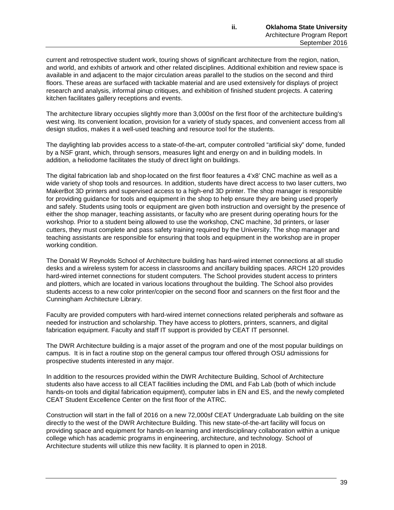current and retrospective student work, touring shows of significant architecture from the region, nation, and world, and exhibits of artwork and other related disciplines. Additional exhibition and review space is available in and adjacent to the major circulation areas parallel to the studios on the second and third floors. These areas are surfaced with tackable material and are used extensively for displays of project research and analysis, informal pinup critiques, and exhibition of finished student projects. A catering kitchen facilitates gallery receptions and events.

The architecture library occupies slightly more than 3,000sf on the first floor of the architecture building's west wing. Its convenient location, provision for a variety of study spaces, and convenient access from all design studios, makes it a well-used teaching and resource tool for the students.

The daylighting lab provides access to a state-of-the-art, computer controlled "artificial sky" dome, funded by a NSF grant, which, through sensors, measures light and energy on and in building models. In addition, a heliodome facilitates the study of direct light on buildings.

The digital fabrication lab and shop located on the first floor features a 4'x8' CNC machine as well as a wide variety of shop tools and resources. In addition, students have direct access to two laser cutters, two MakerBot 3D printers and supervised access to a high-end 3D printer. The shop manager is responsible for providing guidance for tools and equipment in the shop to help ensure they are being used properly and safely. Students using tools or equipment are given both instruction and oversight by the presence of either the shop manager, teaching assistants, or faculty who are present during operating hours for the workshop. Prior to a student being allowed to use the workshop, CNC machine, 3d printers, or laser cutters, they must complete and pass safety training required by the University. The shop manager and teaching assistants are responsible for ensuring that tools and equipment in the workshop are in proper working condition.

The Donald W Reynolds School of Architecture building has hard-wired internet connections at all studio desks and a wireless system for access in classrooms and ancillary building spaces. ARCH 120 provides hard-wired internet connections for student computers. The School provides student access to printers and plotters, which are located in various locations throughout the building. The School also provides students access to a new color printer/copier on the second floor and scanners on the first floor and the Cunningham Architecture Library.

Faculty are provided computers with hard-wired internet connections related peripherals and software as needed for instruction and scholarship. They have access to plotters, printers, scanners, and digital fabrication equipment. Faculty and staff IT support is provided by CEAT IT personnel.

The DWR Architecture building is a major asset of the program and one of the most popular buildings on campus. It is in fact a routine stop on the general campus tour offered through OSU admissions for prospective students interested in any major.

In addition to the resources provided within the DWR Architecture Building, School of Architecture students also have access to all CEAT facilities including the DML and Fab Lab (both of which include hands-on tools and digital fabrication equipment), computer labs in EN and ES, and the newly completed CEAT Student Excellence Center on the first floor of the ATRC.

Construction will start in the fall of 2016 on a new 72,000sf CEAT Undergraduate Lab building on the site directly to the west of the DWR Architecture Building. This new state-of-the-art facility will focus on providing space and equipment for hands-on learning and interdisciplinary collaboration within a unique college which has academic programs in engineering, architecture, and technology. School of Architecture students will utilize this new facility. It is planned to open in 2018.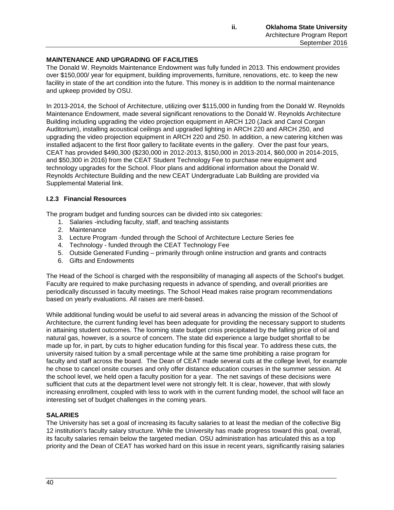# **MAINTENANCE AND UPGRADING OF FACILITIES**

The Donald W. Reynolds Maintenance Endowment was fully funded in 2013. This endowment provides over \$150,000/ year for equipment, building improvements, furniture, renovations, etc. to keep the new facility in state of the art condition into the future. This money is in addition to the normal maintenance and upkeep provided by OSU.

In 2013-2014, the School of Architecture, utilizing over \$115,000 in funding from the Donald W. Reynolds Maintenance Endowment, made several significant renovations to the Donald W. Reynolds Architecture Building including upgrading the video projection equipment in ARCH 120 (Jack and Carol Corgan Auditorium), installing acoustical ceilings and upgraded lighting in ARCH 220 and ARCH 250, and upgrading the video projection equipment in ARCH 220 and 250. In addition, a new catering kitchen was installed adjacent to the first floor gallery to facilitate events in the gallery. Over the past four years, CEAT has provided \$490,300 (\$230,000 in 2012-2013, \$150,000 in 2013-2014, \$60,000 in 2014-2015, and \$50,300 in 2016) from the CEAT Student Technology Fee to purchase new equipment and technology upgrades for the School. Floor plans and additional information about the Donald W. Reynolds Architecture Building and the new CEAT Undergraduate Lab Building are provided via Supplemental Material link.

# **I.2.3 Financial Resources**

The program budget and funding sources can be divided into six categories:

- 1. Salaries -including faculty, staff, and teaching assistants
- 2. Maintenance
- 3. Lecture Program -funded through the School of Architecture Lecture Series fee
- 4. Technology funded through the CEAT Technology Fee
- 5. Outside Generated Funding primarily through online instruction and grants and contracts
- 6. Gifts and Endowments

The Head of the School is charged with the responsibility of managing all aspects of the School's budget. Faculty are required to make purchasing requests in advance of spending, and overall priorities are periodically discussed in faculty meetings. The School Head makes raise program recommendations based on yearly evaluations. All raises are merit-based.

While additional funding would be useful to aid several areas in advancing the mission of the School of Architecture, the current funding level has been adequate for providing the necessary support to students in attaining student outcomes. The looming state budget crisis precipitated by the falling price of oil and natural gas, however, is a source of concern. The state did experience a large budget shortfall to be made up for, in part, by cuts to higher education funding for this fiscal year. To address these cuts, the university raised tuition by a small percentage while at the same time prohibiting a raise program for faculty and staff across the board. The Dean of CEAT made several cuts at the college level, for example he chose to cancel onsite courses and only offer distance education courses in the summer session. At the school level, we held open a faculty position for a year. The net savings of these decisions were sufficient that cuts at the department level were not strongly felt. It is clear, however, that with slowly increasing enrollment, coupled with less to work with in the current funding model, the school will face an interesting set of budget challenges in the coming years.

# **SALARIES**

The University has set a goal of increasing its faculty salaries to at least the median of the collective Big 12 institution's faculty salary structure. While the University has made progress toward this goal, overall, its faculty salaries remain below the targeted median. OSU administration has articulated this as a top priority and the Dean of CEAT has worked hard on this issue in recent years, significantly raising salaries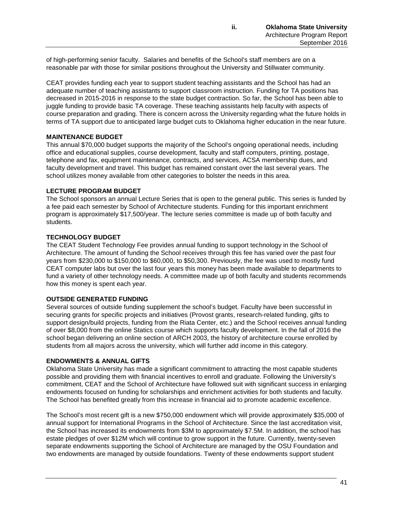of high-performing senior faculty. Salaries and benefits of the School's staff members are on a reasonable par with those for similar positions throughout the University and Stillwater community.

CEAT provides funding each year to support student teaching assistants and the School has had an adequate number of teaching assistants to support classroom instruction. Funding for TA positions has decreased in 2015-2016 in response to the state budget contraction. So far, the School has been able to juggle funding to provide basic TA coverage. These teaching assistants help faculty with aspects of course preparation and grading. There is concern across the University regarding what the future holds in terms of TA support due to anticipated large budget cuts to Oklahoma higher education in the near future.

# **MAINTENANCE BUDGET**

This annual \$70,000 budget supports the majority of the School's ongoing operational needs, including office and educational supplies, course development, faculty and staff computers, printing, postage, telephone and fax, equipment maintenance, contracts, and services, ACSA membership dues, and faculty development and travel. This budget has remained constant over the last several years. The school utilizes money available from other categories to bolster the needs in this area.

# **LECTURE PROGRAM BUDGET**

The School sponsors an annual Lecture Series that is open to the general public. This series is funded by a fee paid each semester by School of Architecture students. Funding for this important enrichment program is approximately \$17,500/year. The lecture series committee is made up of both faculty and students.

# **TECHNOLOGY BUDGET**

The CEAT Student Technology Fee provides annual funding to support technology in the School of Architecture. The amount of funding the School receives through this fee has varied over the past four years from \$230,000 to \$150,000 to \$60,000, to \$50,300. Previously, the fee was used to mostly fund CEAT computer labs but over the last four years this money has been made available to departments to fund a variety of other technology needs. A committee made up of both faculty and students recommends how this money is spent each year.

# **OUTSIDE GENERATED FUNDING**

Several sources of outside funding supplement the school's budget. Faculty have been successful in securing grants for specific projects and initiatives (Provost grants, research-related funding, gifts to support design/build projects, funding from the Riata Center, etc.) and the School receives annual funding of over \$8,000 from the online Statics course which supports faculty development. In the fall of 2016 the school began delivering an online section of ARCH 2003, the history of architecture course enrolled by students from all majors across the university, which will further add income in this category.

### **ENDOWMENTS & ANNUAL GIFTS**

Oklahoma State University has made a significant commitment to attracting the most capable students possible and providing them with financial incentives to enroll and graduate. Following the University's commitment, CEAT and the School of Architecture have followed suit with significant success in enlarging endowments focused on funding for scholarships and enrichment activities for both students and faculty. The School has benefited greatly from this increase in financial aid to promote academic excellence.

The School's most recent gift is a new \$750,000 endowment which will provide approximately \$35,000 of annual support for International Programs in the School of Architecture. Since the last accreditation visit, the School has increased its endowments from \$3M to approximately \$7.5M. In addition, the school has estate pledges of over \$12M which will continue to grow support in the future. Currently, twenty-seven separate endowments supporting the School of Architecture are managed by the OSU Foundation and two endowments are managed by outside foundations. Twenty of these endowments support student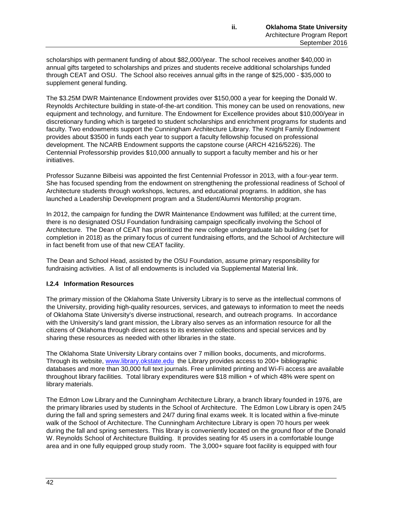scholarships with permanent funding of about \$82,000/year. The school receives another \$40,000 in annual gifts targeted to scholarships and prizes and students receive additional scholarships funded through CEAT and OSU. The School also receives annual gifts in the range of \$25,000 - \$35,000 to supplement general funding.

The \$3.25M DWR Maintenance Endowment provides over \$150,000 a year for keeping the Donald W. Reynolds Architecture building in state-of-the-art condition. This money can be used on renovations, new equipment and technology, and furniture. The Endowment for Excellence provides about \$10,000/year in discretionary funding which is targeted to student scholarships and enrichment programs for students and faculty. Two endowments support the Cunningham Architecture Library. The Knight Family Endowment provides about \$3500 in funds each year to support a faculty fellowship focused on professional development. The NCARB Endowment supports the capstone course (ARCH 4216/5226). The Centennial Professorship provides \$10,000 annually to support a faculty member and his or her initiatives.

Professor Suzanne Bilbeisi was appointed the first Centennial Professor in 2013, with a four-year term. She has focused spending from the endowment on strengthening the professional readiness of School of Architecture students through workshops, lectures, and educational programs. In addition, she has launched a Leadership Development program and a Student/Alumni Mentorship program.

In 2012, the campaign for funding the DWR Maintenance Endowment was fulfilled; at the current time, there is no designated OSU Foundation fundraising campaign specifically involving the School of Architecture. The Dean of CEAT has prioritized the new college undergraduate lab building (set for completion in 2018) as the primary focus of current fundraising efforts, and the School of Architecture will in fact benefit from use of that new CEAT facility.

The Dean and School Head, assisted by the OSU Foundation, assume primary responsibility for fundraising activities. A list of all endowments is included via Supplemental Material link.

# **I.2.4 Information Resources**

The primary mission of the Oklahoma State University Library is to serve as the intellectual commons of the University, providing high-quality resources, services, and gateways to information to meet the needs of Oklahoma State University's diverse instructional, research, and outreach programs. In accordance with the University's land grant mission, the Library also serves as an information resource for all the citizens of Oklahoma through direct access to its extensive collections and special services and by sharing these resources as needed with other libraries in the state.

The Oklahoma State University Library contains over 7 million books, documents, and microforms. Through its website, [www.library.okstate.edu](http://www.library.okstate.edu/) the Library provides access to 200+ bibliographic databases and more than 30,000 full text journals. Free unlimited printing and Wi-Fi access are available throughout library facilities. Total library expenditures were \$18 million + of which 48% were spent on library materials.

The Edmon Low Library and the Cunningham Architecture Library, a branch library founded in 1976, are the primary libraries used by students in the School of Architecture. The Edmon Low Library is open 24/5 during the fall and spring semesters and 24/7 during final exams week. It is located within a five-minute walk of the School of Architecture. The Cunningham Architecture Library is open 70 hours per week during the fall and spring semesters. This library is conveniently located on the ground floor of the Donald W. Reynolds School of Architecture Building. It provides seating for 45 users in a comfortable lounge area and in one fully equipped group study room. The 3,000+ square foot facility is equipped with four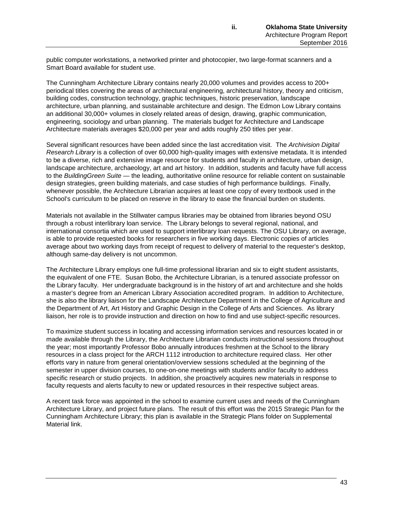public computer workstations, a networked printer and photocopier, two large-format scanners and a Smart Board available for student use.

The Cunningham Architecture Library contains nearly 20,000 volumes and provides access to 200+ periodical titles covering the areas of architectural engineering, architectural history, theory and criticism, building codes, construction technology, graphic techniques, historic preservation, landscape architecture, urban planning, and sustainable architecture and design. The Edmon Low Library contains an additional 30,000+ volumes in closely related areas of design, drawing, graphic communication, engineering, sociology and urban planning. The materials budget for Architecture and Landscape Architecture materials averages \$20,000 per year and adds roughly 250 titles per year.

Several significant resources have been added since the last accreditation visit. The *Archivision Digital Research Library* is a collection of over 60,000 high-quality images with extensive metadata. It is intended to be a diverse, rich and extensive image resource for students and faculty in architecture, urban design, landscape architecture, archaeology, art and art history. In addition, students and faculty have full access to the *BuildingGreen Suite* — the leading, authoritative online resource for reliable content on sustainable design strategies, green building materials, and case studies of high performance buildings. Finally, whenever possible, the Architecture Librarian acquires at least one copy of every textbook used in the School's curriculum to be placed on reserve in the library to ease the financial burden on students.

Materials not available in the Stillwater campus libraries may be obtained from libraries beyond OSU through a robust interlibrary loan service. The Library belongs to several regional, national, and international consortia which are used to support interlibrary loan requests. The OSU Library, on average, is able to provide requested books for researchers in five working days. Electronic copies of articles average about two working days from receipt of request to delivery of material to the requester's desktop, although same-day delivery is not uncommon.

The Architecture Library employs one full-time professional librarian and six to eight student assistants, the equivalent of one FTE. Susan Bobo, the Architecture Librarian, is a tenured associate professor on the Library faculty. Her undergraduate background is in the history of art and architecture and she holds a master's degree from an American Library Association accredited program. In addition to Architecture, she is also the library liaison for the Landscape Architecture Department in the College of Agriculture and the Department of Art, Art History and Graphic Design in the College of Arts and Sciences. As library liaison, her role is to provide instruction and direction on how to find and use subject-specific resources.

To maximize student success in locating and accessing information services and resources located in or made available through the Library, the Architecture Librarian conducts instructional sessions throughout the year; most importantly Professor Bobo annually introduces freshmen at the School to the library resources in a class project for the ARCH 1112 introduction to architecture required class. Her other efforts vary in nature from general orientation/overview sessions scheduled at the beginning of the semester in upper division courses, to one-on-one meetings with students and/or faculty to address specific research or studio projects. In addition, she proactively acquires new materials in response to faculty requests and alerts faculty to new or updated resources in their respective subject areas.

A recent task force was appointed in the school to examine current uses and needs of the Cunningham Architecture Library, and project future plans. The result of this effort was the 2015 Strategic Plan for the Cunningham Architecture Library; this plan is available in the Strategic Plans folder on Supplemental Material link.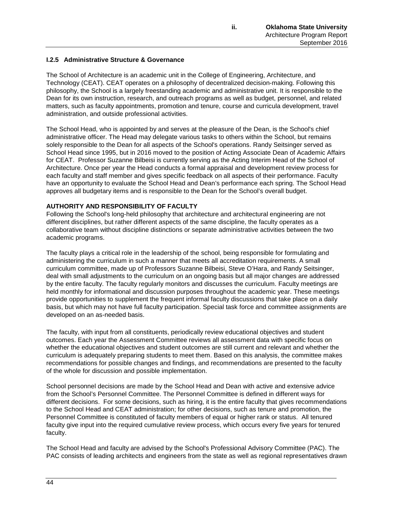# **I.2.5 Administrative Structure & Governance**

The School of Architecture is an academic unit in the College of Engineering, Architecture, and Technology (CEAT). CEAT operates on a philosophy of decentralized decision-making. Following this philosophy, the School is a largely freestanding academic and administrative unit. It is responsible to the Dean for its own instruction, research, and outreach programs as well as budget, personnel, and related matters, such as faculty appointments, promotion and tenure, course and curricula development, travel administration, and outside professional activities.

The School Head, who is appointed by and serves at the pleasure of the Dean, is the School's chief administrative officer. The Head may delegate various tasks to others within the School, but remains solely responsible to the Dean for all aspects of the School's operations. Randy Seitsinger served as School Head since 1995, but in 2016 moved to the position of Acting Associate Dean of Academic Affairs for CEAT. Professor Suzanne Bilbeisi is currently serving as the Acting Interim Head of the School of Architecture. Once per year the Head conducts a formal appraisal and development review process for each faculty and staff member and gives specific feedback on all aspects of their performance. Faculty have an opportunity to evaluate the School Head and Dean's performance each spring. The School Head approves all budgetary items and is responsible to the Dean for the School's overall budget.

### **AUTHORITY AND RESPONSIBILITY OF FACULTY**

Following the School's long-held philosophy that architecture and architectural engineering are not different disciplines, but rather different aspects of the same discipline, the faculty operates as a collaborative team without discipline distinctions or separate administrative activities between the two academic programs.

The faculty plays a critical role in the leadership of the school, being responsible for formulating and administering the curriculum in such a manner that meets all accreditation requirements. A small curriculum committee, made up of Professors Suzanne Bilbeisi, Steve O'Hara, and Randy Seitsinger, deal with small adjustments to the curriculum on an ongoing basis but all major changes are addressed by the entire faculty. The faculty regularly monitors and discusses the curriculum. Faculty meetings are held monthly for informational and discussion purposes throughout the academic year. These meetings provide opportunities to supplement the frequent informal faculty discussions that take place on a daily basis, but which may not have full faculty participation. Special task force and committee assignments are developed on an as-needed basis.

The faculty, with input from all constituents, periodically review educational objectives and student outcomes. Each year the Assessment Committee reviews all assessment data with specific focus on whether the educational objectives and student outcomes are still current and relevant and whether the curriculum is adequately preparing students to meet them. Based on this analysis, the committee makes recommendations for possible changes and findings, and recommendations are presented to the faculty of the whole for discussion and possible implementation.

School personnel decisions are made by the School Head and Dean with active and extensive advice from the School's Personnel Committee. The Personnel Committee is defined in different ways for different decisions. For some decisions, such as hiring, it is the entire faculty that gives recommendations to the School Head and CEAT administration; for other decisions, such as tenure and promotion, the Personnel Committee is constituted of faculty members of equal or higher rank or status. All tenured faculty give input into the required cumulative review process, which occurs every five years for tenured faculty.

The School Head and faculty are advised by the School's Professional Advisory Committee (PAC). The PAC consists of leading architects and engineers from the state as well as regional representatives drawn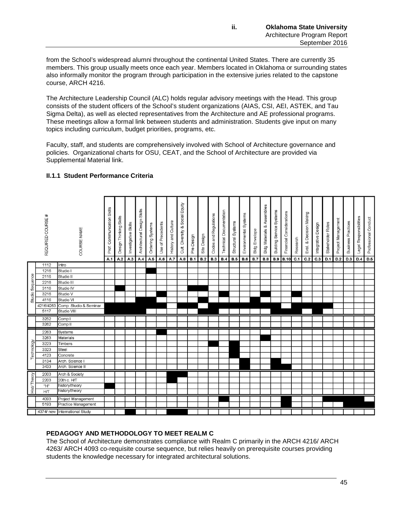from the School's widespread alumni throughout the continental United States. There are currently 35 members. This group usually meets once each year. Members located in Oklahoma or surrounding states also informally monitor the program through participation in the extensive juries related to the capstone course, ARCH 4216.

The Architecture Leadership Council (ALC) holds regular advisory meetings with the Head. This group consists of the student officers of the School's student organizations (AIAS, CSI, AEI, ASTEK, and Tau Sigma Delta), as well as elected representatives from the Architecture and AE professional programs. These meetings allow a formal link between students and administration. Students give input on many topics including curriculum, budget priorities, programs, etc.

Faculty, staff, and students are comprehensively involved with School of Architecture governance and policies. Organizational charts for OSU, CEAT, and the School of Architecture are provided via Supplemental Material link.

|                    | REQUIRED COURSE#                                     | COURSE NAME                                                                                 | Communication Skills<br>Prof.<br>A.1 | Design Thinking Skills<br>A.2 | Investigative Skills<br>A.3 | Architectural Design Skills<br>A.4 | Ordering Systems<br>A.5 | of Precedents<br>Use<br>A.6 | History and Culture<br>A.7 | Cult. Diversity & Social Equity<br>A.8 | Pre-Design<br>B.1 | Site Design<br>B.2 | Codes and Regulations<br><b>B.3</b> | <b>Technical Documentation</b><br>B.4 | Structural Systems<br><b>B.5</b> | Environmental Systems<br><b>B.6</b> | <b>Bldg Envelope</b><br><b>B.7</b> | Bldg Materials & Assemblies<br><b>B.8</b> | <b>Building Service Systems</b><br><b>B.9</b> | Financial Considerations<br><b>B.10</b> | Research<br>C.1 | Eval. & Decision Making<br>C.2 | Integrative Design<br>C.3 | Stakeholder Roles<br>D.1 | Project Management<br>D.2 | <b>Business Practices</b><br>D.3 | Legal Responsibilities<br>D.4 | Professional Conduct<br>D.5 |
|--------------------|------------------------------------------------------|---------------------------------------------------------------------------------------------|--------------------------------------|-------------------------------|-----------------------------|------------------------------------|-------------------------|-----------------------------|----------------------------|----------------------------------------|-------------------|--------------------|-------------------------------------|---------------------------------------|----------------------------------|-------------------------------------|------------------------------------|-------------------------------------------|-----------------------------------------------|-----------------------------------------|-----------------|--------------------------------|---------------------------|--------------------------|---------------------------|----------------------------------|-------------------------------|-----------------------------|
| Studio Sequence    | 1112<br>1216<br>2116<br>2216<br>3116<br>3216<br>4116 | Intro<br>Studio I<br>Studio II<br>Studio III<br>Studio IV<br>Studio V<br>Studio VI          |                                      |                               |                             |                                    |                         |                             |                            |                                        |                   |                    |                                     |                                       |                                  |                                     |                                    |                                           |                                               |                                         |                 |                                |                           |                          |                           |                                  |                               |                             |
|                    | 4216/4263<br>5117<br>3252<br>3262                    | Comp. Studio & Seminar<br>Studio VIII<br>Comp I<br>Comp <sub>II</sub>                       |                                      |                               |                             |                                    |                         |                             |                            |                                        |                   |                    |                                     |                                       |                                  |                                     |                                    |                                           |                                               |                                         |                 |                                |                           |                          |                           |                                  |                               |                             |
| Technology         | 2263<br>3263<br>3223<br>3323<br>4123<br>3134<br>3433 | Systems<br>Materials<br>Timbers<br>Steel<br>Concrete<br>Arch. Science I<br>Arch. Science II |                                      |                               |                             |                                    |                         |                             |                            |                                        |                   |                    |                                     |                                       |                                  |                                     |                                    |                                           |                                               |                                         |                 |                                |                           |                          |                           |                                  |                               |                             |
| <b>Hist/Theory</b> | 2003<br>2203<br>"H"<br>HЛ                            | Arch & Society<br>20th c. H/T<br>history/theory<br>history/theory                           |                                      |                               |                             |                                    |                         |                             |                            |                                        |                   |                    |                                     |                                       |                                  |                                     |                                    |                                           |                                               |                                         |                 |                                |                           |                          |                           |                                  |                               |                             |
|                    | 4093<br>5193                                         | Project Management<br>Practice Management<br>4374/ new International Study                  |                                      |                               |                             |                                    |                         |                             |                            |                                        |                   |                    |                                     |                                       |                                  |                                     |                                    |                                           |                                               |                                         |                 |                                |                           |                          |                           |                                  |                               |                             |

# **II.1.1 Student Performance Criteria**

# **PEDAGOGY AND METHODOLOGY TO MEET REALM C**

The School of Architecture demonstrates compliance with Realm C primarily in the ARCH 4216/ ARCH 4263/ ARCH 4093 co-requisite course sequence, but relies heavily on prerequisite courses providing students the knowledge necessary for integrated architectural solutions.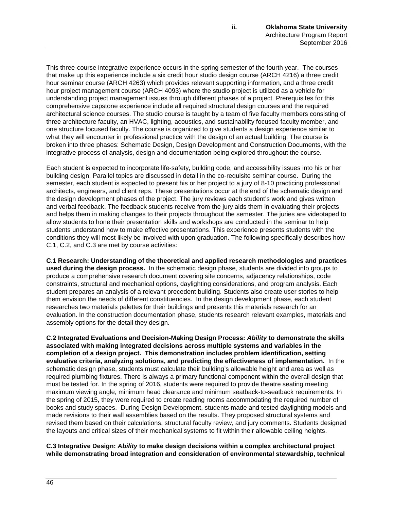This three-course integrative experience occurs in the spring semester of the fourth year. The courses that make up this experience include a six credit hour studio design course (ARCH 4216) a three credit hour seminar course (ARCH 4263) which provides relevant supporting information, and a three credit hour project management course (ARCH 4093) where the studio project is utilized as a vehicle for understanding project management issues through different phases of a project. Prerequisites for this comprehensive capstone experience include all required structural design courses and the required architectural science courses. The studio course is taught by a team of five faculty members consisting of three architecture faculty, an HVAC, lighting, acoustics, and sustainability focused faculty member, and one structure focused faculty. The course is organized to give students a design experience similar to what they will encounter in professional practice with the design of an actual building. The course is broken into three phases: Schematic Design, Design Development and Construction Documents, with the integrative process of analysis, design and documentation being explored throughout the course.

Each student is expected to incorporate life-safety, building code, and accessibility issues into his or her building design. Parallel topics are discussed in detail in the co-requisite seminar course. During the semester, each student is expected to present his or her project to a jury of 8-10 practicing professional architects, engineers, and client reps. These presentations occur at the end of the schematic design and the design development phases of the project. The jury reviews each student's work and gives written and verbal feedback. The feedback students receive from the jury aids them in evaluating their projects and helps them in making changes to their projects throughout the semester. The juries are videotaped to allow students to hone their presentation skills and workshops are conducted in the seminar to help students understand how to make effective presentations. This experience presents students with the conditions they will most likely be involved with upon graduation. The following specifically describes how C.1, C.2, and C.3 are met by course activities:

**C.1 Research: Understanding of the theoretical and applied research methodologies and practices used during the design process.** In the schematic design phase, students are divided into groups to produce a comprehensive research document covering site concerns, adjacency relationships, code constraints, structural and mechanical options, daylighting considerations, and program analysis. Each student prepares an analysis of a relevant precedent building. Students also create user stories to help them envision the needs of different constituencies. In the design development phase, each student researches two materials palettes for their buildings and presents this materials research for an evaluation. In the construction documentation phase, students research relevant examples, materials and assembly options for the detail they design.

**C.2 Integrated Evaluations and Decision-Making Design Process:** *Ability* **to demonstrate the skills associated with making integrated decisions across multiple systems and variables in the completion of a design project. This demonstration includes problem identification, setting evaluative criteria, analyzing solutions, and predicting the effectiveness of implementation.** In the schematic design phase, students must calculate their building's allowable height and area as well as required plumbing fixtures. There is always a primary functional component within the overall design that must be tested for. In the spring of 2016, students were required to provide theatre seating meeting maximum viewing angle, minimum head clearance and minimum seatback-to-seatback requirements. In the spring of 2015, they were required to create reading rooms accommodating the required number of books and study spaces. During Design Development, students made and tested daylighting models and made revisions to their wall assemblies based on the results. They proposed structural systems and revised them based on their calculations, structural faculty review, and jury comments. Students designed the layouts and critical sizes of their mechanical systems to fit within their allowable ceiling heights.

**C.3 Integrative Design:** *Ability* **to make design decisions within a complex architectural project while demonstrating broad integration and consideration of environmental stewardship, technical**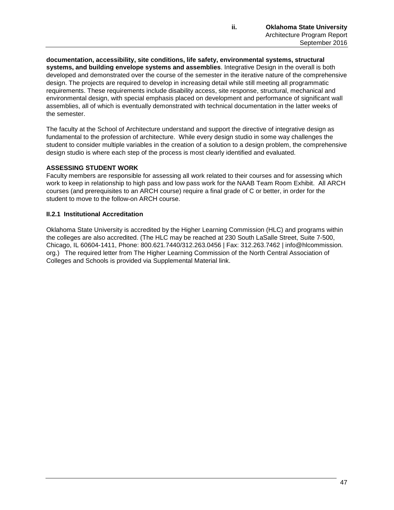**documentation, accessibility, site conditions, life safety, environmental systems, structural systems, and building envelope systems and assemblies**. Integrative Design in the overall is both developed and demonstrated over the course of the semester in the iterative nature of the comprehensive design. The projects are required to develop in increasing detail while still meeting all programmatic requirements. These requirements include disability access, site response, structural, mechanical and environmental design, with special emphasis placed on development and performance of significant wall assemblies, all of which is eventually demonstrated with technical documentation in the latter weeks of the semester.

The faculty at the School of Architecture understand and support the directive of integrative design as fundamental to the profession of architecture. While every design studio in some way challenges the student to consider multiple variables in the creation of a solution to a design problem, the comprehensive design studio is where each step of the process is most clearly identified and evaluated.

# **ASSESSING STUDENT WORK**

Faculty members are responsible for assessing all work related to their courses and for assessing which work to keep in relationship to high pass and low pass work for the NAAB Team Room Exhibit. All ARCH courses (and prerequisites to an ARCH course) require a final grade of C or better, in order for the student to move to the follow-on ARCH course.

# **II.2.1 Institutional Accreditation**

Oklahoma State University is accredited by the Higher Learning Commission (HLC) and programs within the colleges are also accredited. (The HLC may be reached at 230 South LaSalle Street, Suite 7-500, Chicago, IL 60604-1411, Phone: 800.621.7440/312.263.0456 | Fax: 312.263.7462 | info@hlcommission. org.) The required letter from The Higher Learning Commission of the North Central Association of Colleges and Schools is provided via Supplemental Material link.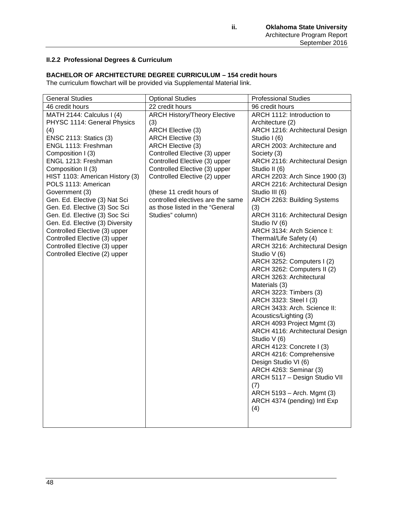# **II.2.2 Professional Degrees & Curriculum**

# **BACHELOR OF ARCHITECTURE DEGREE CURRICULUM – 154 credit hours**

The curriculum flowchart will be provided via Supplemental Material link.

| <b>General Studies</b>          | <b>Optional Studies</b>             | <b>Professional Studies</b>             |
|---------------------------------|-------------------------------------|-----------------------------------------|
| 46 credit hours                 | 22 credit hours                     | 96 credit hours                         |
| MATH 2144: Calculus I (4)       | <b>ARCH History/Theory Elective</b> | ARCH 1112: Introduction to              |
| PHYSC 1114: General Physics     | (3)                                 | Architecture (2)                        |
| (4)                             | <b>ARCH Elective (3)</b>            | ARCH 1216: Architectural Design         |
| <b>ENSC 2113: Statics (3)</b>   | <b>ARCH Elective (3)</b>            | Studio I (6)                            |
| ENGL 1113: Freshman             | ARCH Elective (3)                   | ARCH 2003: Architecture and             |
| Composition I (3)               | Controlled Elective (3) upper       | Society (3)                             |
| ENGL 1213: Freshman             | Controlled Elective (3) upper       | ARCH 2116: Architectural Design         |
| Composition II (3)              | Controlled Elective (3) upper       | Studio II (6)                           |
| HIST 1103: American History (3) | Controlled Elective (2) upper       | ARCH 2203: Arch Since 1900 (3)          |
| POLS 1113: American             |                                     | ARCH 2216: Architectural Design         |
| Government (3)                  | (these 11 credit hours of           | Studio III (6)                          |
| Gen. Ed. Elective (3) Nat Sci   | controlled electives are the same   | ARCH 2263: Building Systems             |
| Gen. Ed. Elective (3) Soc Sci   | as those listed in the "General     | (3)                                     |
| Gen. Ed. Elective (3) Soc Sci   | Studies" column)                    | ARCH 3116: Architectural Design         |
| Gen. Ed. Elective (3) Diversity |                                     | Studio IV (6)                           |
| Controlled Elective (3) upper   |                                     | ARCH 3134: Arch Science I:              |
| Controlled Elective (3) upper   |                                     | Thermal/Life Safety (4)                 |
| Controlled Elective (3) upper   |                                     | ARCH 3216: Architectural Design         |
| Controlled Elective (2) upper   |                                     | Studio V (6)                            |
|                                 |                                     | ARCH 3252: Computers I (2)              |
|                                 |                                     | ARCH 3262: Computers II (2)             |
|                                 |                                     | ARCH 3263: Architectural                |
|                                 |                                     | Materials (3)<br>ARCH 3223: Timbers (3) |
|                                 |                                     | ARCH 3323: Steel I (3)                  |
|                                 |                                     | ARCH 3433: Arch. Science II:            |
|                                 |                                     | Acoustics/Lighting (3)                  |
|                                 |                                     | ARCH 4093 Project Mgmt (3)              |
|                                 |                                     | ARCH 4116: Architectural Design         |
|                                 |                                     | Studio V (6)                            |
|                                 |                                     | ARCH 4123: Concrete I (3)               |
|                                 |                                     | ARCH 4216: Comprehensive                |
|                                 |                                     | Design Studio VI (6)                    |
|                                 |                                     | ARCH 4263: Seminar (3)                  |
|                                 |                                     | ARCH 5117 - Design Studio VII           |
|                                 |                                     | (7)                                     |
|                                 |                                     | ARCH 5193 - Arch. Mgmt (3)              |
|                                 |                                     | ARCH 4374 (pending) Intl Exp            |
|                                 |                                     | (4)                                     |
|                                 |                                     |                                         |
|                                 |                                     |                                         |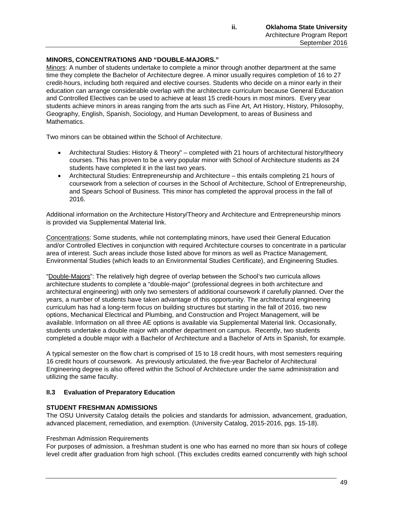### **MINORS, CONCENTRATIONS AND "DOUBLE-MAJORS."**

Minors: A number of students undertake to complete a minor through another department at the same time they complete the Bachelor of Architecture degree. A minor usually requires completion of 16 to 27 credit-hours, including both required and elective courses. Students who decide on a minor early in their education can arrange considerable overlap with the architecture curriculum because General Education and Controlled Electives can be used to achieve at least 15 credit-hours in most minors. Every year students achieve minors in areas ranging from the arts such as Fine Art, Art History, History, Philosophy, Geography, English, Spanish, Sociology, and Human Development, to areas of Business and Mathematics.

Two minors can be obtained within the School of Architecture.

- Architectural Studies: History & Theory" completed with 21 hours of architectural history/theory courses. This has proven to be a very popular minor with School of Architecture students as 24 students have completed it in the last two years.
- Architectural Studies: Entrepreneurship and Architecture this entails completing 21 hours of coursework from a selection of courses in the School of Architecture, School of Entrepreneurship, and Spears School of Business. This minor has completed the approval process in the fall of 2016.

Additional information on the Architecture History/Theory and Architecture and Entrepreneurship minors is provided via Supplemental Material link.

Concentrations: Some students, while not contemplating minors, have used their General Education and/or Controlled Electives in conjunction with required Architecture courses to concentrate in a particular area of interest. Such areas include those listed above for minors as well as Practice Management, Environmental Studies (which leads to an Environmental Studies Certificate), and Engineering Studies.

"Double-Majors": The relatively high degree of overlap between the School's two curricula allows architecture students to complete a "double-major" (professional degrees in both architecture and architectural engineering) with only two semesters of additional coursework if carefully planned. Over the years, a number of students have taken advantage of this opportunity. The architectural engineering curriculum has had a long-term focus on building structures but starting in the fall of 2016, two new options, Mechanical Electrical and Plumbing, and Construction and Project Management, will be available. Information on all three AE options is available via Supplemental Material link. Occasionally, students undertake a double major with another department on campus. Recently, two students completed a double major with a Bachelor of Architecture and a Bachelor of Arts in Spanish, for example.

A typical semester on the flow chart is comprised of 15 to 18 credit hours, with most semesters requiring 16 credit hours of coursework. As previously articulated, the five-year Bachelor of Architectural Engineering degree is also offered within the School of Architecture under the same administration and utilizing the same faculty.

### **II.3 Evaluation of Preparatory Education**

### **STUDENT FRESHMAN ADMISSIONS**

The OSU University Catalog details the policies and standards for admission, advancement, graduation, advanced placement, remediation, and exemption. (University Catalog, 2015-2016, pgs. 15-18).

#### Freshman Admission Requirements

For purposes of admission, a freshman student is one who has earned no more than six hours of college level credit after graduation from high school. (This excludes credits earned concurrently with high school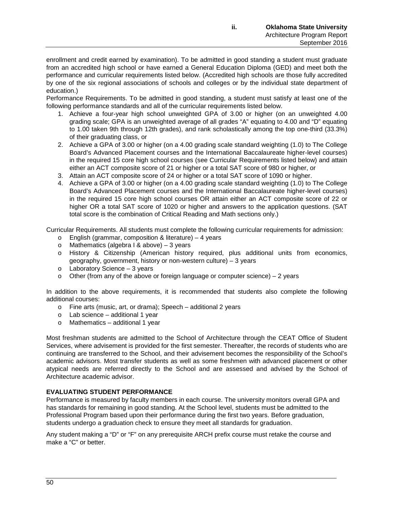enrollment and credit earned by examination). To be admitted in good standing a student must graduate from an accredited high school or have earned a General Education Diploma (GED) and meet both the performance and curricular requirements listed below. (Accredited high schools are those fully accredited by one of the six regional associations of schools and colleges or by the individual state department of education.)

Performance Requirements. To be admitted in good standing, a student must satisfy at least one of the following performance standards and all of the curricular requirements listed below.

- 1. Achieve a four-year high school unweighted GPA of 3.00 or higher (on an unweighted 4.00 grading scale; GPA is an unweighted average of all grades "A" equating to 4.00 and "D" equating to 1.00 taken 9th through 12th grades), and rank scholastically among the top one-third (33.3%) of their graduating class, or
- 2. Achieve a GPA of 3.00 or higher (on a 4.00 grading scale standard weighting (1.0) to The College Board's Advanced Placement courses and the International Baccalaureate higher-level courses) in the required 15 core high school courses (see Curricular Requirements listed below) and attain either an ACT composite score of 21 or higher or a total SAT score of 980 or higher, or
- 3. Attain an ACT composite score of 24 or higher or a total SAT score of 1090 or higher.
- 4. Achieve a GPA of 3.00 or higher (on a 4.00 grading scale standard weighting (1.0) to The College Board's Advanced Placement courses and the International Baccalaureate higher-level courses) in the required 15 core high school courses OR attain either an ACT composite score of 22 or higher OR a total SAT score of 1020 or higher and answers to the application questions. (SAT total score is the combination of Critical Reading and Math sections only.)

Curricular Requirements. All students must complete the following curricular requirements for admission:

- o English (grammar, composition & literature) 4 years
- o Mathematics (algebra I & above) 3 years
- o History & Citizenship (American history required, plus additional units from economics, geography, government, history or non-western culture) – 3 years
- o Laboratory Science 3 years
- $\circ$  Other (from any of the above or foreign language or computer science) 2 years

In addition to the above requirements, it is recommended that students also complete the following additional courses:

- o Fine arts (music, art, or drama); Speech additional 2 years
- o Lab science additional 1 year
- $o$  Mathematics additional 1 year

Most freshman students are admitted to the School of Architecture through the CEAT Office of Student Services, where advisement is provided for the first semester. Thereafter, the records of students who are continuing are transferred to the School, and their advisement becomes the responsibility of the School's academic advisors. Most transfer students as well as some freshmen with advanced placement or other atypical needs are referred directly to the School and are assessed and advised by the School of Architecture academic advisor.

### **EVALUATING STUDENT PERFORMANCE**

Performance is measured by faculty members in each course. The university monitors overall GPA and has standards for remaining in good standing. At the School level, students must be admitted to the Professional Program based upon their performance during the first two years. Before graduation, students undergo a graduation check to ensure they meet all standards for graduation.

Any student making a "D" or "F" on any prerequisite ARCH prefix course must retake the course and make a "C" or better.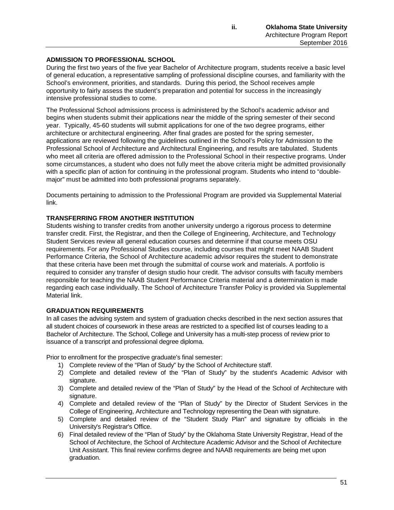# **ADMISSION TO PROFESSIONAL SCHOOL**

During the first two years of the five year Bachelor of Architecture program, students receive a basic level of general education, a representative sampling of professional discipline courses, and familiarity with the School's environment, priorities, and standards. During this period, the School receives ample opportunity to fairly assess the student's preparation and potential for success in the increasingly intensive professional studies to come.

The Professional School admissions process is administered by the School's academic advisor and begins when students submit their applications near the middle of the spring semester of their second year. Typically, 45-60 students will submit applications for one of the two degree programs, either architecture or architectural engineering. After final grades are posted for the spring semester, applications are reviewed following the guidelines outlined in the School's Policy for Admission to the Professional School of Architecture and Architectural Engineering, and results are tabulated. Students who meet all criteria are offered admission to the Professional School in their respective programs. Under some circumstances, a student who does not fully meet the above criteria might be admitted provisionally with a specific plan of action for continuing in the professional program. Students who intend to "doublemajor" must be admitted into both professional programs separately.

Documents pertaining to admission to the Professional Program are provided via Supplemental Material link.

#### **TRANSFERRING FROM ANOTHER INSTITUTION**

Students wishing to transfer credits from another university undergo a rigorous process to determine transfer credit. First, the Registrar, and then the College of Engineering, Architecture, and Technology Student Services review all general education courses and determine if that course meets OSU requirements. For any Professional Studies course, including courses that might meet NAAB Student Performance Criteria, the School of Architecture academic advisor requires the student to demonstrate that these criteria have been met through the submittal of course work and materials. A portfolio is required to consider any transfer of design studio hour credit. The advisor consults with faculty members responsible for teaching the NAAB Student Performance Criteria material and a determination is made regarding each case individually. The School of Architecture Transfer Policy is provided via Supplemental Material link.

#### **GRADUATION REQUIREMENTS**

In all cases the advising system and system of graduation checks described in the next section assures that all student choices of coursework in these areas are restricted to a specified list of courses leading to a Bachelor of Architecture. The School, College and University has a multi-step process of review prior to issuance of a transcript and professional degree diploma.

Prior to enrollment for the prospective graduate's final semester:

- 1) Complete review of the "Plan of Study" by the School of Architecture staff.
- 2) Complete and detailed review of the "Plan of Study" by the student's Academic Advisor with signature.
- 3) Complete and detailed review of the "Plan of Study" by the Head of the School of Architecture with signature.
- 4) Complete and detailed review of the "Plan of Study" by the Director of Student Services in the College of Engineering, Architecture and Technology representing the Dean with signature.
- 5) Complete and detailed review of the "Student Study Plan" and signature by officials in the University's Registrar's Office.
- 6) Final detailed review of the "Plan of Study" by the Oklahoma State University Registrar, Head of the School of Architecture, the School of Architecture Academic Advisor and the School of Architecture Unit Assistant. This final review confirms degree and NAAB requirements are being met upon graduation.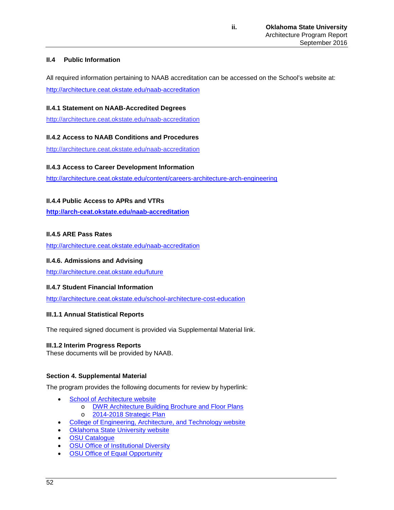# **II.4 Public Information**

All required information pertaining to NAAB accreditation can be accessed on the School's website at: <http://architecture.ceat.okstate.edu/naab-accreditation>

# **II.4.1 Statement on NAAB-Accredited Degrees**

<http://architecture.ceat.okstate.edu/naab-accreditation>

# **II.4.2 Access to NAAB Conditions and Procedures**

<http://architecture.ceat.okstate.edu/naab-accreditation>

### **II.4.3 Access to Career Development Information**

<http://architecture.ceat.okstate.edu/content/careers-architecture-arch-engineering>

# **II.4.4 Public Access to APRs and VTRs**

**<http://arch-ceat.okstate.edu/naab-accreditation>**

### **II.4.5 ARE Pass Rates**

<http://architecture.ceat.okstate.edu/naab-accreditation>

### **II.4.6. Admissions and Advising**

<http://architecture.ceat.okstate.edu/future>

### **II.4.7 Student Financial Information**

<http://architecture.ceat.okstate.edu/school-architecture-cost-education>

### **III.1.1 Annual Statistical Reports**

The required signed document is provided via Supplemental Material link.

### **III.1.2 Interim Progress Reports**

These documents will be provided by NAAB.

### **Section 4. Supplemental Material**

The program provides the following documents for review by hyperlink:

- [School of Architecture](http://arch-ceat.okstate.edu/) website
	- o [DWR Architecture Building Brochure and Floor Plans](http://architecture.ceat.okstate.edu/arch_bldg)
	- o [2014-2018 Strategic Plan](http://arch-ceat.okstate.edu/content/mission-statement)
	- [College of Engineering, Architecture, and Technology website](http://ceat.okstate.edu/)
- **[Oklahoma State University website](http://go.okstate.edu/)**
- **[OSU Catalogue](https://registrar.okstate.edu/University-Catalog)**
- **[OSU Office of Institutional Diversity](http://diversity.okstate.edu/)**
- **[OSU Office of Equal Opportunity](http://eeo.okstate.edu/)**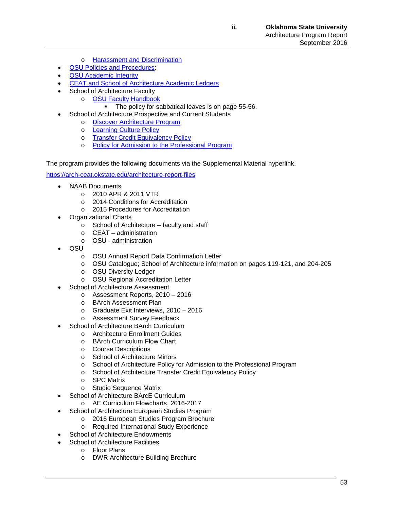- o Harassment [and Discrimination](http://eeo.okstate.edu/harassment-and-discrimination)
- **[OSU Policies and Procedures:](https://stw.sp.okstate.edu/Policies/Shared%20Documents/Forms/AllItems.aspx)**
- **[OSU Academic Integrity](http://academicintegrity.okstate.edu/)**
- [CEAT and School of Architecture](https://osuledgers.okstate.edu/AcademicLedgers#ENG) Academic Ledgers
- School of Architecture Faculty
	- o **[OSU Faculty Handbook](https://facultycouncil.okstate.edu/content/osu-faculty-handbook)**<br>The policy for sa
		- The policy for sabbatical leaves is on page 55-56.
	- School of Architecture Prospective and Current Students
		- o [Discover Architecture Program](http://architecture.ceat.okstate.edu/discover-architecture)
		- o [Learning Culture Policy](http://architecture.ceat.okstate.edu/content/current-students)
		- o [Transfer Credit Equivalency Policy](http://architecture.ceat.okstate.edu/transferring-another-institution-school-architecture)
		- o [Policy for Admission to the Professional Program](http://architecture.ceat.okstate.edu/content/third-year-admissions)

The program provides the following documents via the Supplemental Material hyperlink.

<https://arch-ceat.okstate.edu/architecture-report-files>

- NAAB Documents
	- o 2010 APR & 2011 VTR
	- o 2014 Conditions for Accreditation
	- o 2015 Procedures for Accreditation
- Organizational Charts
	- o School of Architecture faculty and staff
	- o CEAT administration
	- o OSU administration
- OSU
	- o OSU Annual Report Data Confirmation Letter
	- o OSU Catalogue; School of Architecture information on pages 119-121, and 204-205
	- o OSU Diversity Ledger
	- o OSU Regional Accreditation Letter
- School of Architecture Assessment
	- o Assessment Reports, 2010 2016
	- o BArch Assessment Plan
	- o Graduate Exit Interviews, 2010 2016
	- o Assessment Survey Feedback
	- School of Architecture BArch Curriculum
		- o Architecture Enrollment Guides
		- o BArch Curriculum Flow Chart
		-
		- o Course Descriptions<br>
		o School of Architectur School of Architecture Minors
		- o School of Architecture Policy for Admission to the Professional Program
		- o School of Architecture Transfer Credit Equivalency Policy
		- o SPC Matrix
		- o Studio Sequence Matrix
- School of Architecture BArcE Curriculum
	- o AE Curriculum Flowcharts, 2016-2017
- School of Architecture European Studies Program
	- o 2016 European Studies Program Brochure
	- o Required International Study Experience
- School of Architecture Endowments
- School of Architecture Facilities
	- o Floor Plans
	- o DWR Architecture Building Brochure